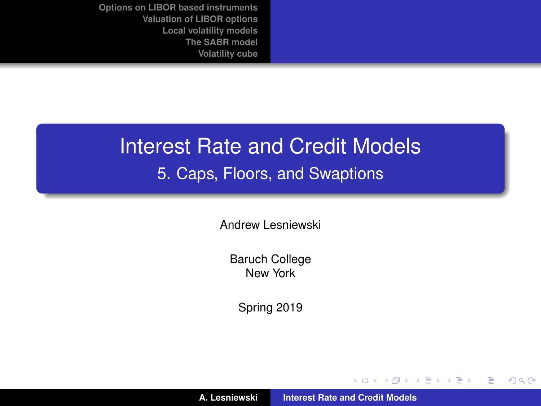# Interest Rate and Credit Models 5. Caps, Floors, and Swaptions

Andrew Lesniewski

Baruch College New York

Spring 2019

(ロトス個) (運) (運)

<span id="page-0-0"></span> $299$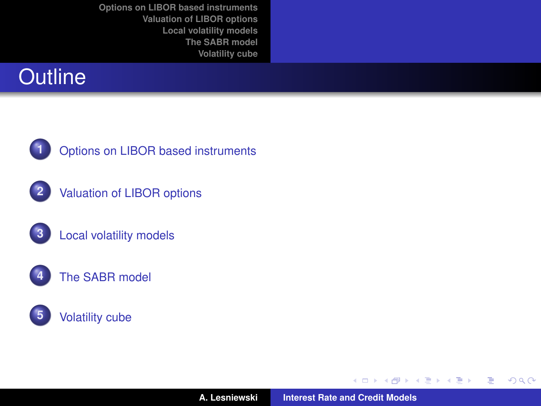



**1** [Options on LIBOR based instruments](#page-2-0)



**2** [Valuation of LIBOR options](#page-16-0)







(ロ) (包)

→ 君をす者を

 $299$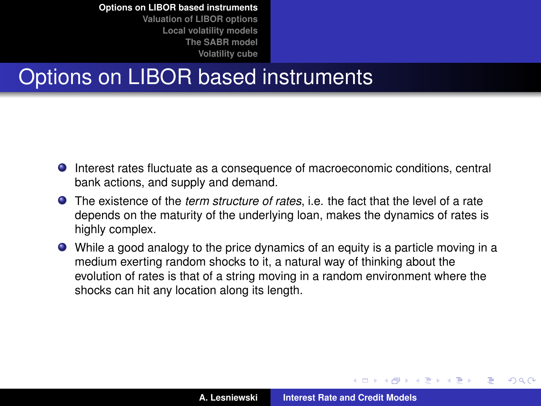**[Valuation of LIBOR options](#page-16-0) [Local volatility models](#page-34-0) [The SABR model](#page-52-0) [Volatility cube](#page-66-0)**

# Options on LIBOR based instruments

- Interest rates fluctuate as a consequence of macroeconomic conditions, central bank actions, and supply and demand.
- The existence of the *term structure of rates*, i.e. the fact that the level of a rate depends on the maturity of the underlying loan, makes the dynamics of rates is highly complex.
- While a good analogy to the price dynamics of an equity is a particle moving in a medium exerting random shocks to it, a natural way of thinking about the evolution of rates is that of a string moving in a random environment where the shocks can hit any location along its length.

<span id="page-2-0"></span>イロメ イ部メ イ君メ イ君メー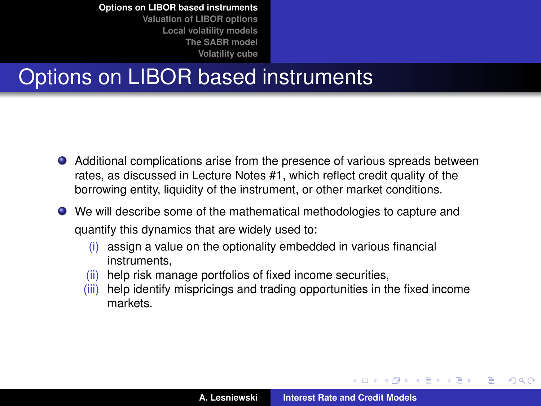# Options on LIBOR based instruments

- Additional complications arise from the presence of various spreads between rates, as discussed in Lecture Notes #1, which reflect credit quality of the borrowing entity, liquidity of the instrument, or other market conditions.
- We will describe some of the mathematical methodologies to capture and quantify this dynamics that are widely used to:
	- $(i)$  assign a value on the optionality embedded in various financial instruments,
	- (ii) help risk manage portfolios of fixed income securities,
	- (iii) help identify mispricings and trading opportunities in the fixed income markets.

イロメ イ部メ イ君メ イ君メー

<span id="page-3-0"></span>Þ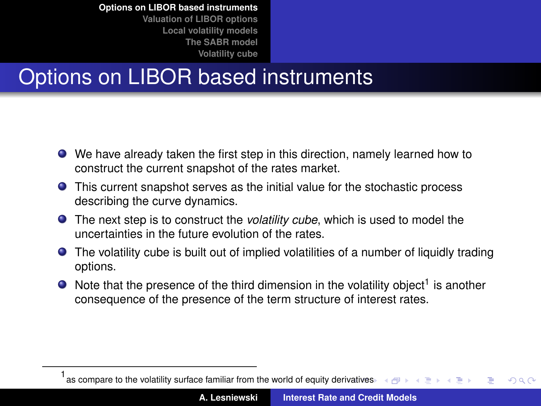**[Volatility cube](#page-66-0)**

# Options on LIBOR based instruments

- We have already taken the first step in this direction, namely learned how to construct the current snapshot of the rates market.
- This current snapshot serves as the initial value for the stochastic process describing the curve dynamics.
- The next step is to construct the *volatility cube*, which is used to model the uncertainties in the future evolution of the rates.
- The volatility cube is built out of implied volatilities of a number of liquidly trading options.
- Note that the presence of the third dimension in the volatility object<sup>1</sup> is another consequence of the presence of the term structure of interest rates.

<sup>1</sup> as compare to the volatility surface familiar from the world of equity deri[vativ](#page-3-0)e[s](#page-5-0)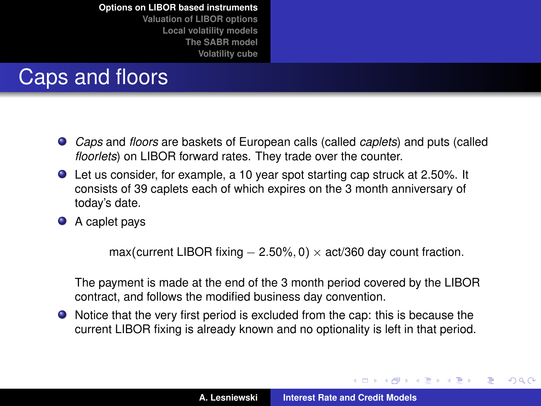**[Valuation of LIBOR options](#page-16-0) [Local volatility models](#page-34-0) [The SABR model](#page-52-0) [Volatility cube](#page-66-0)**

# Caps and floors

- *Caps* and *floors* are baskets of European calls (called *caplets*) and puts (called *floorlets*) on LIBOR forward rates. They trade over the counter.
- Let us consider, for example, a 10 year spot starting cap struck at 2.50%. It consists of 39 caplets each of which expires on the 3 month anniversary of today's date.
- A caplet pays

max(current LIBOR fixing  $- 2.50\%, 0$ ) × act/360 day count fraction.

The payment is made at the end of the 3 month period covered by the LIBOR contract, and follows the modified business day convention.

Notice that the very first period is excluded from the cap: this is because the current LIBOR fixing is already known and no optionality is left in that period.

(ロトス個) (運) (運)

<span id="page-5-0"></span> $299$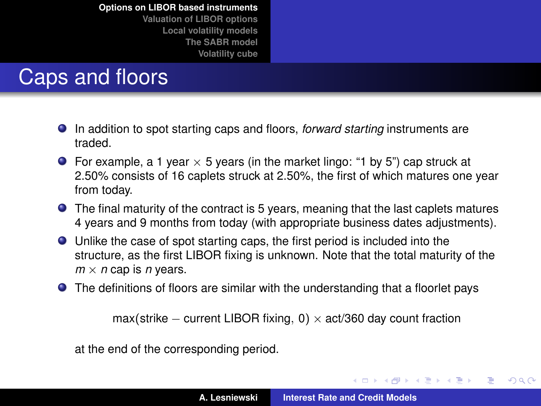**[Valuation of LIBOR options](#page-16-0) [Local volatility models](#page-34-0) [The SABR model](#page-52-0) [Volatility cube](#page-66-0)**

# Caps and floors

- In addition to spot starting caps and floors, *forward starting* instruments are traded.
- **•** For example, a 1 year  $\times$  5 years (in the market lingo: "1 by 5") cap struck at 2.50% consists of 16 caplets struck at 2.50%, the first of which matures one year from today.
- The final maturity of the contract is 5 years, meaning that the last caplets matures 4 years and 9 months from today (with appropriate business dates adjustments).
- Unlike the case of spot starting caps, the first period is included into the structure, as the first LIBOR fixing is unknown. Note that the total maturity of the  $m \times n$  cap is *n* years.
- The definitions of floors are similar with the understanding that a floorlet pays

max(strike – current LIBOR fixing, 0)  $\times$  act/360 day count fraction

at the end of the corresponding period.

イロメ イ部メ イ君メ イ君メー

 $299$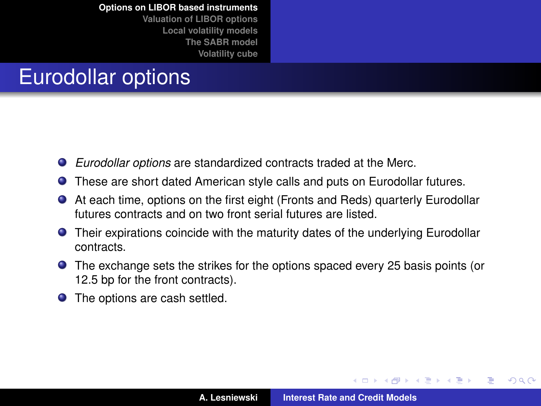**[Valuation of LIBOR options](#page-16-0) [Local volatility models](#page-34-0) [The SABR model](#page-52-0) [Volatility cube](#page-66-0)**

# Eurodollar options

- *Eurodollar options* are standardized contracts traded at the Merc. .
- These are short dated American style calls and puts on Eurodollar futures.
- At each time, options on the first eight (Fronts and Reds) quarterly Eurodollar futures contracts and on two front serial futures are listed.
- **•** Their expirations coincide with the maturity dates of the underlying Eurodollar contracts.
- The exchange sets the strikes for the options spaced every 25 basis points (or 12.5 bp for the front contracts).
- **•** The options are cash settled.

 $\overline{AB}$   $\rightarrow$   $\overline{AB}$   $\rightarrow$   $\overline{AB}$   $\rightarrow$ 

 $299$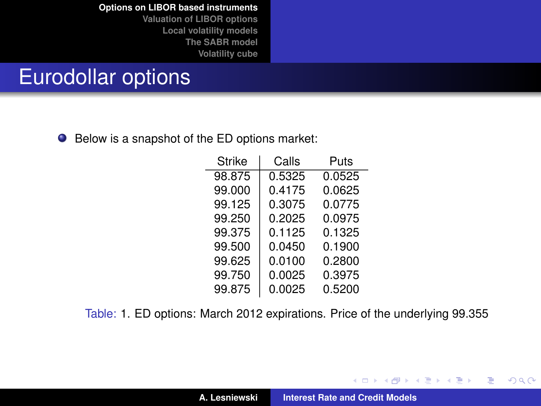**[Valuation of LIBOR options](#page-16-0) [Local volatility models](#page-34-0) [The SABR model](#page-52-0) [Volatility cube](#page-66-0)**

## Eurodollar options

● Below is a snapshot of the ED options market:

| <b>Strike</b> | Calls  | Puts   |  |  |
|---------------|--------|--------|--|--|
| 98.875        | 0.5325 | 0.0525 |  |  |
| 99.000        | 0.4175 | 0.0625 |  |  |
| 99.125        | 0.3075 | 0.0775 |  |  |
| 99.250        | 0.2025 | 0.0975 |  |  |
| 99.375        | 0.1125 | 0.1325 |  |  |
| 99.500        | 0.0450 | 0.1900 |  |  |
| 99.625        | 0.0100 | 0.2800 |  |  |
| 99.750        | 0.0025 | 0.3975 |  |  |
| 99.875        | 0.0025 | 0.5200 |  |  |

<span id="page-8-0"></span>Table: [1.](#page-8-0) ED options: March 2012 expirations. Price of the underlying 99.355

イロメ イ部メ イ君メ イ君メー

 $299$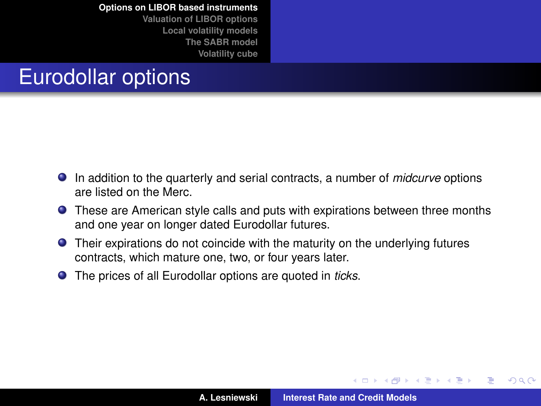**[Valuation of LIBOR options](#page-16-0) [Local volatility models](#page-34-0) [The SABR model](#page-52-0) [Volatility cube](#page-66-0)**

# Eurodollar options

- In addition to the quarterly and serial contracts, a number of *midcurve* options are listed on the Merc.
- These are American style calls and puts with expirations between three months and one year on longer dated Eurodollar futures.
- Their expirations do not coincide with the maturity on the underlying futures contracts, which mature one, two, or four years later.
- The prices of all Eurodollar options are quoted in *ticks*.

 $\left\{ \begin{array}{ccc} 1 & 0 & 0 \\ 0 & 1 & 0 \end{array} \right.$ 

 $299$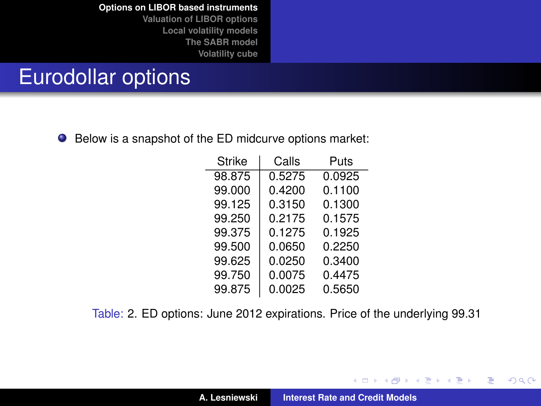**[Valuation of LIBOR options](#page-16-0) [Local volatility models](#page-34-0) [The SABR model](#page-52-0) [Volatility cube](#page-66-0)**

## Eurodollar options

● Below is a snapshot of the ED midcurve options market:

| Strike | Calls  | Puts   |  |  |
|--------|--------|--------|--|--|
| 98.875 | 0.5275 | 0.0925 |  |  |
| 99.000 | 0.4200 | 0.1100 |  |  |
| 99.125 | 0.3150 | 0.1300 |  |  |
| 99.250 | 0.2175 | 0.1575 |  |  |
| 99.375 | 0.1275 | 0.1925 |  |  |
| 99.500 | 0.0650 | 0.2250 |  |  |
| 99.625 | 0.0250 | 0.3400 |  |  |
| 99.750 | 0.0075 | 0.4475 |  |  |
| 99.875 | 0.0025 | 0.5650 |  |  |

<span id="page-10-0"></span>Table: [2.](#page-10-0) ED options: June 2012 expirations. Price of the underlying 99.31

イロメ イ部メ イ君メ イ君メー

 $299$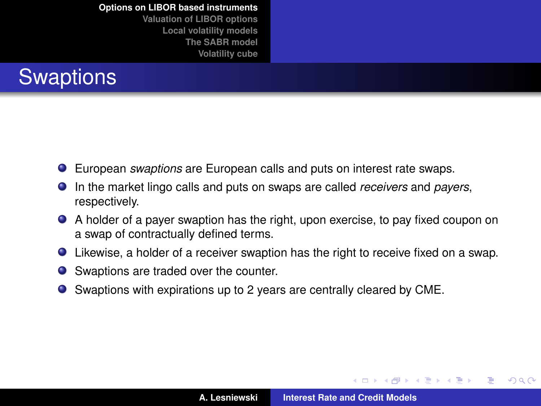**[Valuation of LIBOR options](#page-16-0) [Local volatility models](#page-34-0) [The SABR model](#page-52-0) [Volatility cube](#page-66-0)**



- European *swaptions* are European calls and puts on interest rate swaps.
- In the market lingo calls and puts on swaps are called *receivers* and *payers*, respectively.
- A holder of a payer swaption has the right, upon exercise, to pay fixed coupon on a swap of contractually defined terms.
- Likewise, a holder of a receiver swaption has the right to receive fixed on a swap.
- Swaptions are traded over the counter.
- Swaptions with expirations up to 2 years are centrally cleared by CME.

イロメ イ部メ イ君メ イ君メー

 $299$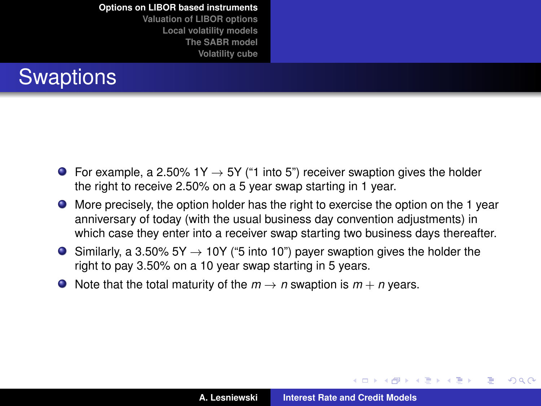**[Valuation of LIBOR options](#page-16-0) [Local volatility models](#page-34-0) [The SABR model](#page-52-0) [Volatility cube](#page-66-0)**



- $\bullet$  For example, a 2.50% 1Y  $\rightarrow$  5Y ("1 into 5") receiver swaption gives the holder the right to receive 2.50% on a 5 year swap starting in 1 year.
- More precisely, the option holder has the right to exercise the option on the 1 year anniversary of today (with the usual business day convention adjustments) in which case they enter into a receiver swap starting two business days thereafter.
- $\bullet$  Similarly, a 3.50% 5Y → 10Y ("5 into 10") payer swaption gives the holder the right to pay 3.50% on a 10 year swap starting in 5 years.
- $\bullet$  Note that the total maturity of the  $m \rightarrow n$  swaption is  $m + n$  years.

(ロトス個) (運) (運)

Þ

 $298$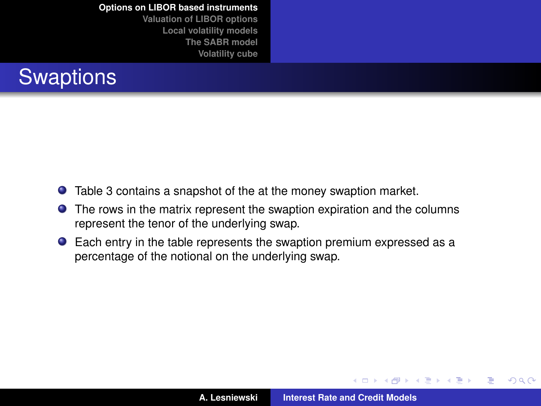**[Valuation of LIBOR options](#page-16-0) [Local volatility models](#page-34-0) [The SABR model](#page-52-0) [Volatility cube](#page-66-0)**



- Table [3](#page-14-0) contains a snapshot of the at the money swaption market.
- The rows in the matrix represent the swaption expiration and the columns represent the tenor of the underlying swap.
- Each entry in the table represents the swaption premium expressed as a percentage of the notional on the underlying swap.

(ロトス個) (運) (運)

 $299$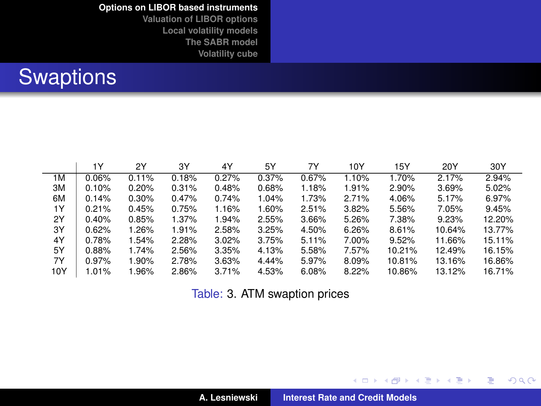**[Valuation of LIBOR options](#page-16-0) [Local volatility models](#page-34-0) [The SABR model](#page-52-0) [Volatility cube](#page-66-0)**

# Swaptions

|     | 1Y    | 2Y    | 3Y    | 4Y    | 5Y    | 7Y    | 10Y   | 15Y    | 20Y    | 30Y    |
|-----|-------|-------|-------|-------|-------|-------|-------|--------|--------|--------|
| 1M  | 0.06% | 0.11% | 0.18% | 0.27% | 0.37% | 0.67% | 1.10% | 1.70%  | 2.17%  | 2.94%  |
| ЗM  | 0.10% | 0.20% | 0.31% | 0.48% | 0.68% | 1.18% | 1.91% | 2.90%  | 3.69%  | 5.02%  |
| 6M  | 0.14% | 0.30% | 0.47% | 0.74% | 1.04% | 1.73% | 2.71% | 4.06%  | 5.17%  | 6.97%  |
| 1Υ  | 0.21% | 0.45% | 0.75% | 1.16% | 1.60% | 2.51% | 3.82% | 5.56%  | 7.05%  | 9.45%  |
| 2Y  | 0.40% | 0.85% | 1.37% | 1.94% | 2.55% | 3.66% | 5.26% | 7.38%  | 9.23%  | 12.20% |
| 3Y  | 0.62% | 1.26% | 1.91% | 2.58% | 3.25% | 4.50% | 6.26% | 8.61%  | 10.64% | 13.77% |
| 4Y  | 0.78% | 1.54% | 2.28% | 3.02% | 3.75% | 5.11% | 7.00% | 9.52%  | 11.66% | 15.11% |
| 5Y  | 0.88% | 1.74% | 2.56% | 3.35% | 4.13% | 5.58% | 7.57% | 10.21% | 12.49% | 16.15% |
| 7Y  | 0.97% | 1.90% | 2.78% | 3.63% | 4.44% | 5.97% | 8.09% | 10.81% | 13.16% | 16.86% |
| 10Y | 1.01% | 1.96% | 2.86% | 3.71% | 4.53% | 6.08% | 8.22% | 10.86% | 13.12% | 16.71% |

<span id="page-14-0"></span>Table: [3.](#page-14-0) ATM swaption prices

(ロトス個) (運) (運)

重

 $298$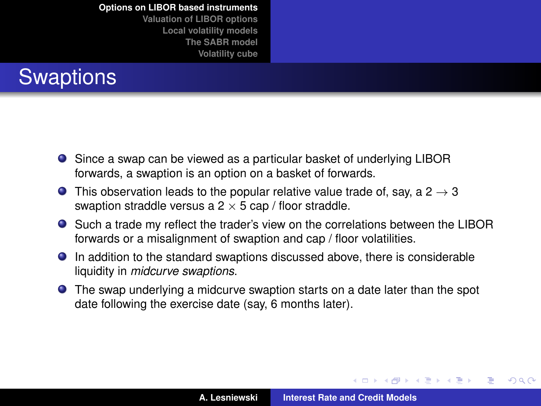**[Valuation of LIBOR options](#page-16-0) [Local volatility models](#page-34-0) [The SABR model](#page-52-0) [Volatility cube](#page-66-0)**



- Since a swap can be viewed as a particular basket of underlying LIBOR forwards, a swaption is an option on a basket of forwards.
- **O** This observation leads to the popular relative value trade of, say, a  $2 \rightarrow 3$ swaption straddle versus a  $2 \times 5$  cap / floor straddle.
- Such a trade my reflect the trader's view on the correlations between the LIBOR forwards or a misalignment of swaption and cap / floor volatilities.
- In addition to the standard swaptions discussed above, there is considerable liquidity in *midcurve swaptions*.
- The swap underlying a midcurve swaption starts on a date later than the spot date following the exercise date (say, 6 months later).

(ロトス個) (運) (運)

 $299$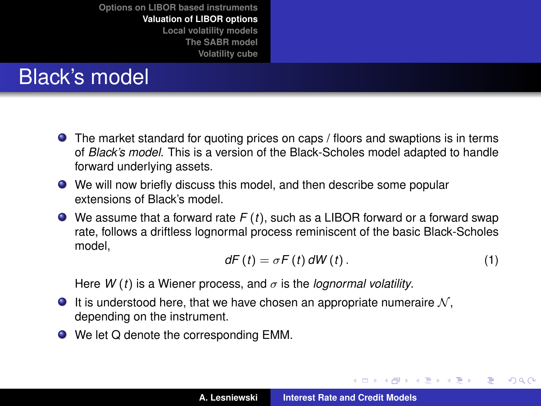# Black's model

- **•** The market standard for quoting prices on caps / floors and swaptions is in terms of *Black's model*. This is a version of the Black-Scholes model adapted to handle forward underlying assets.
- We will now briefly discuss this model, and then describe some popular extensions of Black's model.
- We assume that a forward rate *F* (*t*), such as a LIBOR forward or a forward swap rate, follows a driftless lognormal process reminiscent of the basic Black-Scholes model,

$$
dF(t) = \sigma F(t) dW(t).
$$
 (1)

<span id="page-16-1"></span>イロメ イ部メ イヨメ イヨメー

 $299$ 

<span id="page-16-0"></span>重

Here  $W(t)$  is a Wiener process, and  $\sigma$  is the *lognormal volatility*.

- It is understood here, that we have chosen an appropriate numeraire  $N$ , depending on the instrument.
- We let Q denote the corresponding EMM.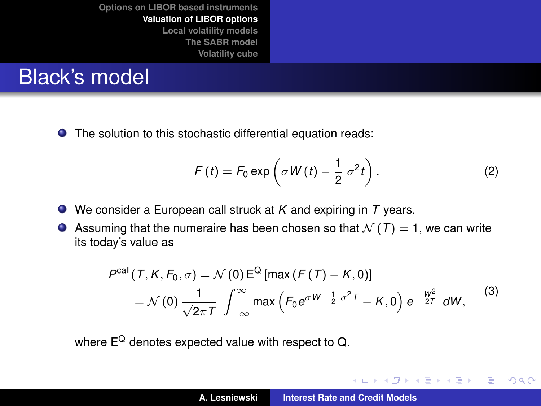# Black's model

● The solution to this stochastic differential equation reads:

$$
F(t) = F_0 \exp\left(\sigma W(t) - \frac{1}{2} \sigma^2 t\right).
$$
 (2)

イロメ イ部メ イヨメ イヨメー

 $299$ 

重

- We consider a European call struck at *K* and expiring in *T* years.
- Assuming that the numeraire has been chosen so that  $\mathcal{N}(T) = 1$ , we can write its today's value as

$$
P^{\text{call}}(T, K, F_0, \sigma) = \mathcal{N}(0) E^{\text{Q}}[\max(F(T) - K, 0)]
$$
  
=  $\mathcal{N}(0) \frac{1}{\sqrt{2\pi T}} \int_{-\infty}^{\infty} \max\left(F_0 e^{\sigma W - \frac{1}{2}\sigma^2 T} - K, 0\right) e^{-\frac{W^2}{2T}} dW,$  (3)

where  $E^Q$  denotes expected value with respect to  $Q$ .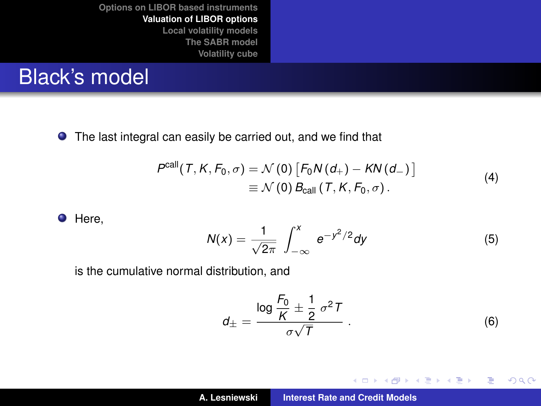## Black's model

The last integral can easily be carried out, and we find that

$$
P^{\text{call}}(T, K, F_0, \sigma) = \mathcal{N}(0) [F_0 N(d_+) - KN(d_-)]
$$
  
=  $\mathcal{N}(0) B_{\text{call}}(T, K, F_0, \sigma)$ . (4)

**O** Here,

$$
N(x) = \frac{1}{\sqrt{2\pi}} \int_{-\infty}^{x} e^{-y^2/2} dy
$$
 (5)

is the cumulative normal distribution, and

$$
d_{\pm} = \frac{\log \frac{F_0}{K} \pm \frac{1}{2} \sigma^2 T}{\sigma \sqrt{T}} \,. \tag{6}
$$

イロメ イ部メ イ君メ イ君メー

重

 $299$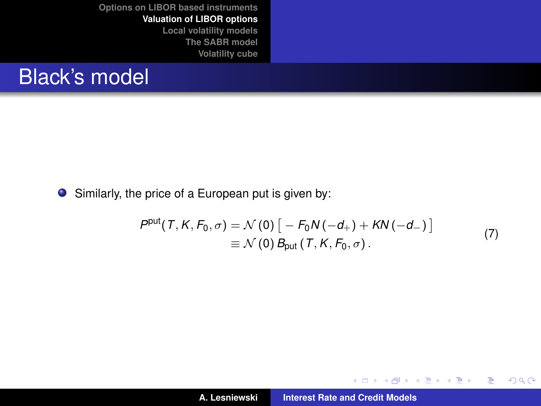### Black's model

Similarly, the price of a European put is given by:

$$
P^{put}(T, K, F_0, \sigma) = \mathcal{N}(0) [-F_0 N(-d_+) + KN(-d_-)]
$$
  
=  $\mathcal{N}(0) B_{put}(T, K, F_0, \sigma)$ . (7)

K ロ ▶ K 御 ▶ K 君 ▶ K 君 ▶

重

 $298$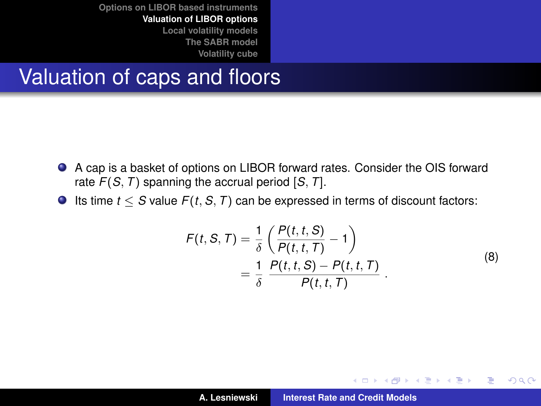### Valuation of caps and floors

- A cap is a basket of options on LIBOR forward rates. Consider the OIS forward rate *F*(*S*, *T*) spanning the accrual period [*S*, *T*].
- Its time *t* ≤ *S* value *F*(*t*, *S*, *T*) can be expressed in terms of discount factors:

$$
F(t, S, T) = \frac{1}{\delta} \left( \frac{P(t, t, S)}{P(t, t, T)} - 1 \right)
$$
  
= 
$$
\frac{1}{\delta} \frac{P(t, t, S) - P(t, t, T)}{P(t, t, T)}
$$
 (8)

イロメ イ部メ イ君メ イ君メー

 $299$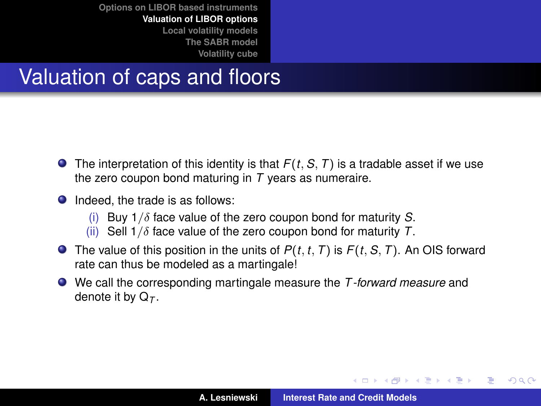# Valuation of caps and floors

- $\bullet$  The interpretation of this identity is that  $F(t, S, T)$  is a tradable asset if we use the zero coupon bond maturing in *T* years as numeraire.
- Indeed, the trade is as follows:
	- (i) Buy 1/δ face value of the zero coupon bond for maturity *S*.
	- (ii) Sell 1/δ face value of the zero coupon bond for maturity *T*.
- **O** The value of this position in the units of  $P(t, t, T)$  is  $F(t, S, T)$ . An OIS forward rate can thus be modeled as a martingale!
- We call the corresponding martingale measure the *T -forward measure* and denote it by Q*<sup>T</sup>* .

イロメ イ部メ イ君メ イ君メー

Þ

 $298$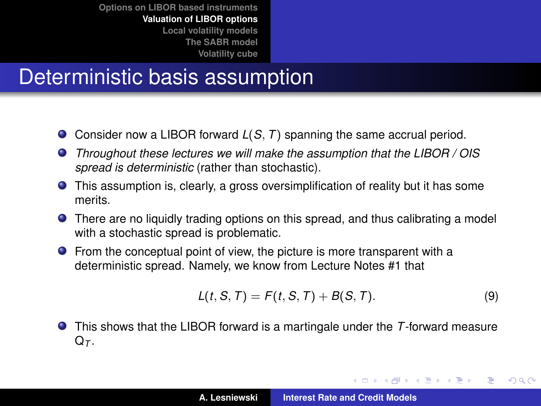# Deterministic basis assumption

- Consider now a LIBOR forward *L*(*S*, *T*) spanning the same accrual period.
- *Throughout these lectures we will make the assumption that the LIBOR / OIS spread is deterministic* (rather than stochastic).
- This assumption is, clearly, a gross oversimplification of reality but it has some merits.
- There are no liquidly trading options on this spread, and thus calibrating a model with a stochastic spread is problematic.
- **•** From the conceptual point of view, the picture is more transparent with a deterministic spread. Namely, we know from Lecture Notes #1 that

$$
L(t, S, T) = F(t, S, T) + B(S, T). \tag{9}
$$

イロメ イ部メ イヨメ イヨメー

 $QQ$ 

Þ

This shows that the LIBOR forward is a martingale under the *T*-forward measure  $Q_{\tau}$ .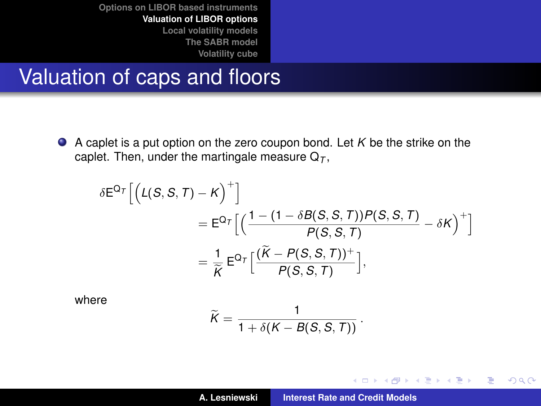#### Valuation of caps and floors

A caplet is a put option on the zero coupon bond. Let *K* be the strike on the caplet. Then, under the martingale measure  $Q_T$ ,

$$
\delta E^{\mathsf{Q}_\mathcal{T}} \Big[ \Big( \mathsf{L}(S, S, \mathcal{T}) - \mathsf{K} \Big)^+ \Big] \n= E^{\mathsf{Q}_\mathcal{T}} \Big[ \Big( \frac{1 - (1 - \delta \mathsf{B}(S, S, \mathcal{T})) P(S, S, \mathcal{T})}{P(S, S, \mathcal{T})} - \delta \mathsf{K} \Big)^+ \Big] \n= \frac{1}{\widetilde{\mathsf{K}}} E^{\mathsf{Q}_\mathcal{T}} \Big[ \frac{(\widetilde{\mathsf{K}} - P(S, S, \mathcal{T}))^+}{P(S, S, \mathcal{T})} \Big],
$$

where

$$
\widetilde{K}=\frac{1}{1+\delta(K-B(S,S,T))}.
$$

イロメ イ部メ イヨメ イヨメー

重

 $299$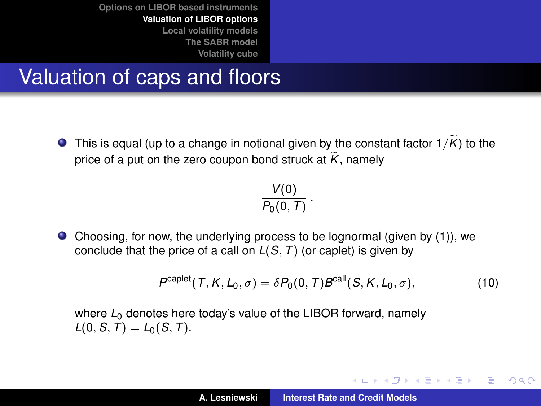# Valuation of caps and floors

 $\bullet$  This is equal (up to a change in notional given by the constant factor  $1/K$ ) to the price of a put on the zero coupon bond struck at  $\widetilde{K}$ , namely

$$
\frac{V(0)}{P_0(0,T)}\,.
$$

Choosing, for now, the underlying process to be lognormal (given by [\(1\)](#page-16-1)), we conclude that the price of a call on *L*(*S*, *T*) (or caplet) is given by

$$
P^{\text{caplet}}(T, K, L_0, \sigma) = \delta P_0(0, T) B^{\text{call}}(S, K, L_0, \sigma), \tag{10}
$$

イロメ イ団メ イヨメ イヨメー

重  $2Q$ 

where  $L_0$  denotes here today's value of the LIBOR forward, namely  $L(0, S, T) = L_0(S, T)$ .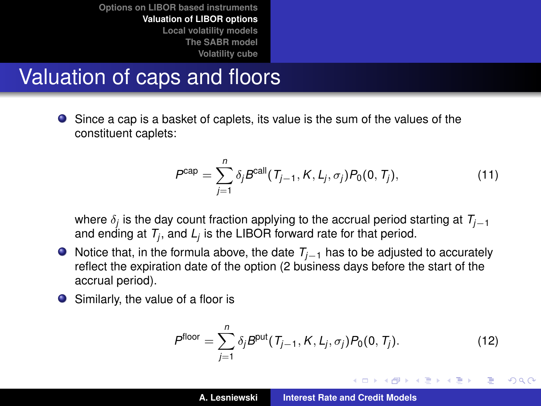### Valuation of caps and floors

Since a cap is a basket of caplets, its value is the sum of the values of the constituent caplets:

$$
P^{\text{cap}} = \sum_{j=1}^{n} \delta_j B^{\text{call}}(T_{j-1}, K, L_j, \sigma_j) P_0(0, T_j),
$$
\n(11)

where δ*<sup>j</sup>* is the day count fraction applying to the accrual period starting at *Tj*−<sup>1</sup> and ending at  $T_j$ , and  $L_j$  is the LIBOR forward rate for that period.

- Notice that, in the formula above, the date *Tj*−<sup>1</sup> has to be adjusted to accurately reflect the expiration date of the option (2 business days before the start of the accrual period).
- Similarly, the value of a floor is

$$
P^{\text{floor}} = \sum_{j=1}^{n} \delta_j B^{\text{put}}(T_{j-1}, K, L_j, \sigma_j) P_0(0, T_j). \tag{12}
$$

イロメ イ部メ イヨメ イヨメー

重  $2Q$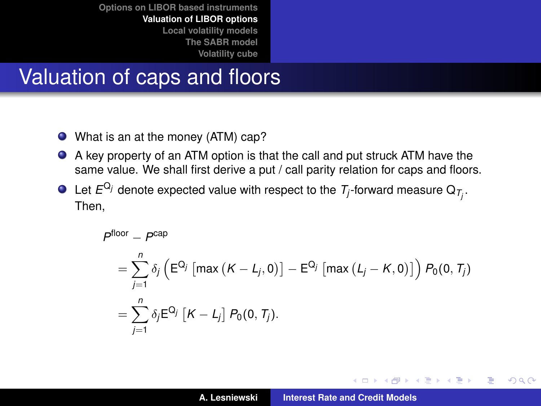## Valuation of caps and floors

- What is an at the money (ATM) cap?
- $\bullet$ A key property of an ATM option is that the call and put struck ATM have the same value. We shall first derive a put / call parity relation for caps and floors.
- Let  $E^{\mathrm{Q}_j}$  denote expected value with respect to the  $\mathcal{T}_j$ -forward measure  $\mathrm{Q}_{\mathcal{T}_j}.$ Then,

$$
P^{\text{floor}} - P^{\text{cap}}
$$
\n
$$
= \sum_{j=1}^{n} \delta_j \left( E^{Q_j} \left[ \max \left( K - L_j, 0 \right) \right] - E^{Q_j} \left[ \max \left( L_j - K, 0 \right) \right] \right) P_0(0, T_j)
$$
\n
$$
= \sum_{j=1}^{n} \delta_j E^{Q_j} \left[ K - L_j \right] P_0(0, T_j).
$$

(ロトス個) (運) (運)

 $299$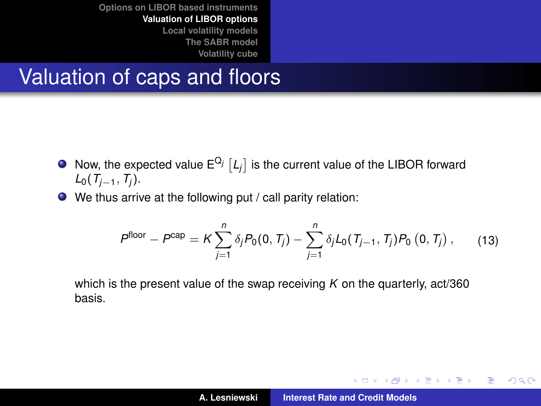### Valuation of caps and floors

- Now, the expected value  $E^{Q_j}$   $[L_j]$  is the current value of the LIBOR forward *L*<sub>0</sub>(*T*<sub>*j*−1</sub>, *T*<sub>*j*</sub>).
- We thus arrive at the following put / call parity relation:

$$
P^{\text{floor}} - P^{\text{cap}} = K \sum_{j=1}^{n} \delta_j P_0(0, T_j) - \sum_{j=1}^{n} \delta_j L_0(T_{j-1}, T_j) P_0(0, T_j), \qquad (13)
$$

which is the present value of the swap receiving *K* on the quarterly, act/360 basis.

イロメ イ団メ イヨメ イヨメー

 $299$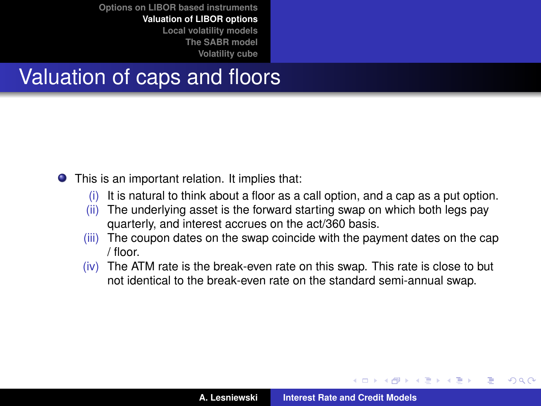# Valuation of caps and floors

This is an important relation. It implies that:

- (i) It is natural to think about a floor as a call option, and a cap as a put option.
- (ii) The underlying asset is the forward starting swap on which both legs pay quarterly, and interest accrues on the act/360 basis.
- (iii) The coupon dates on the swap coincide with the payment dates on the cap / floor.
- (iv) The ATM rate is the break-even rate on this swap. This rate is close to but not identical to the break-even rate on the standard semi-annual swap.

イロト イ押ト イヨト イヨト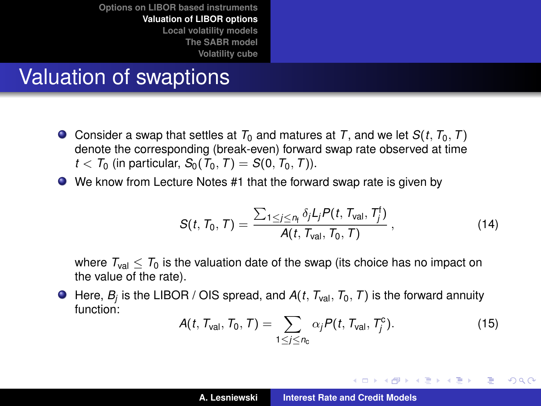# Valuation of swaptions

- $\bullet$  Consider a swap that settles at  $T_0$  and matures at *T*, and we let  $S(t, T_0, T)$ denote the corresponding (break-even) forward swap rate observed at time  $t < T_0$  (in particular,  $S_0(T_0, T) = S(0, T_0, T)$ ).
- We know from Lecture Notes #1 that the forward swap rate is given by

$$
S(t, T_0, T) = \frac{\sum_{1 \leq j \leq n_f} \delta_j L_j P(t, T_{\text{val}}, T_j^{\dagger})}{A(t, T_{\text{val}}, T_0, T)}, \qquad (14)
$$

where  $T_{val} < T_0$  is the valuation date of the swap (its choice has no impact on the value of the rate).

Here, *B<sup>j</sup>* is the LIBOR / OIS spread, and *A*(*t*, *T*val, *T*0, *T*) is the forward annuity function:

$$
A(t, T_{\text{val}}, T_0, T) = \sum_{1 \leq j \leq n_{\text{c}}} \alpha_j P(t, T_{\text{val}}, T_j^{\text{c}}). \tag{15}
$$

イロメ イ部メ イヨメ イヨメー

Þ

 $298$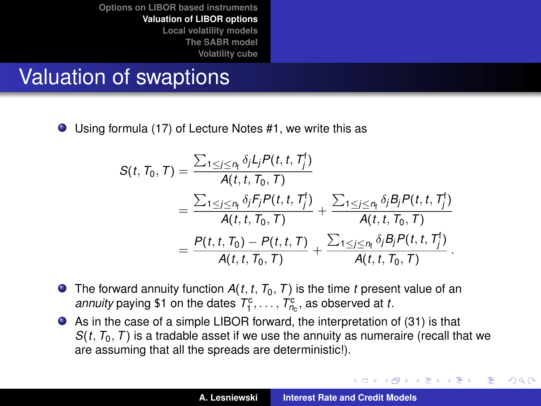## Valuation of swaptions

Using formula (17) of Lecture Notes #1, we write this as

$$
S(t, T_0, T) = \frac{\sum_{1 \le j \le n_{\text{f}}} \delta_j L_j P(t, t, T_j')}{A(t, t, T_0, T)} = \frac{\sum_{1 \le j \le n_{\text{f}}} \delta_j F_j P(t, t, T_j')}{A(t, t, T_0, T)} + \frac{\sum_{1 \le j \le n_{\text{f}}} \delta_j B_j P(t, t, T_j')}{A(t, t, T_0, T)} = \frac{P(t, t, T_0) - P(t, t, T)}{A(t, t, T_0, T)} + \frac{\sum_{1 \le j \le n_{\text{f}}} \delta_j B_j P(t, t, T_j')}{A(t, t, T_0, T)}.
$$

- **O** The forward annuity function  $A(t, t, T_0, T)$  is the time *t* present value of an *annuity* paying \$1 on the dates  $T_1^c, \ldots, T_{n_c}^c$ , as observed at *t*.
- As in the case of a simple LIBOR forward, the interpretation of [\(31\)](#page-30-0) is that  $S(t, T_0, T)$  is a tradable asset if we use the annuity as numeraire (recall that we are assuming that all the spreads are deterministic!).

<span id="page-30-1"></span><span id="page-30-0"></span>イロメ イ部メ イヨメ イヨメー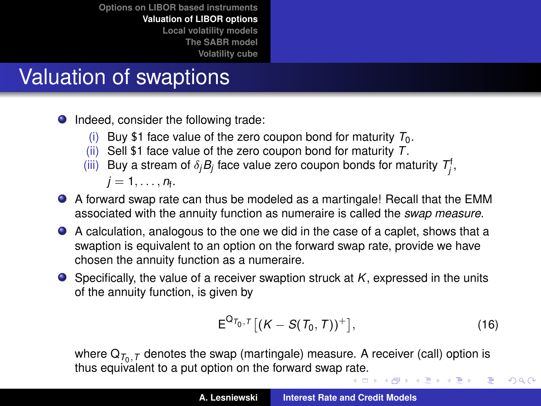# Valuation of swaptions

- **Indeed, consider the following trade:** 
	- (i) Buy \$1 face value of the zero coupon bond for maturity  $T_0$ .
	- (ii) Sell \$1 face value of the zero coupon bond for maturity *T*.
	- (iii) Buy a stream of  $\delta_j B_j$  face value zero coupon bonds for maturity  $\mathcal{T}^\mathsf{f}_j$ ,

$$
j=1,\ldots,n_f.
$$

- A forward swap rate can thus be modeled as a martingale! Recall that the EMM associated with the annuity function as numeraire is called the *swap measure*.
- A calculation, analogous to the one we did in the case of a caplet, shows that a swaption is equivalent to an option on the forward swap rate, provide we have chosen the annuity function as a numeraire.
- Specifically, the value of a receiver swaption struck at *K*, expressed in the units of the annuity function, is given by

$$
E^{Q_{\mathcal{T}_0,\mathcal{T}}}[(K-S(\mathcal{T}_0,\mathcal{T}))^+],\tag{16}
$$

 $2Q$ 

where  $\mathsf{Q}_{\mathcal{T}_0,\mathcal{T}}$  denotes the swap (martingale) measure. A receiver (call) option is thus equivalent to a put option on the forward swap [rate](#page-30-1).<br>All the second second the second system is a second that the second system is a second to the second system is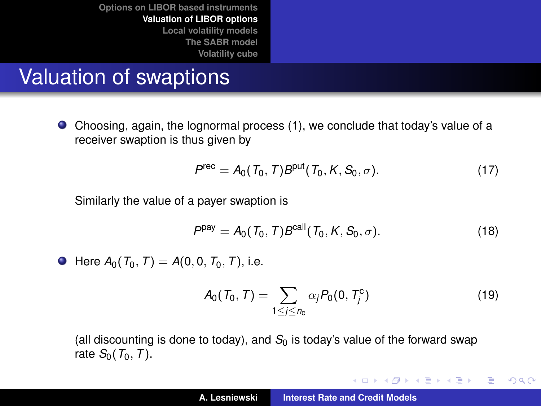# Valuation of swaptions

Choosing, again, the lognormal process [\(1\)](#page-16-1), we conclude that today's value of a receiver swaption is thus given by

$$
P^{\text{rec}} = A_0(T_0, T) B^{\text{put}}(T_0, K, S_0, \sigma). \tag{17}
$$

Similarly the value of a payer swaption is

$$
Ppay = A0(T0, T)Bcall(T0, K, S0, \sigma).
$$
 (18)

 $\bullet$  Here  $A_0(T_0, T) = A(0, 0, T_0, T)$ , i.e.

$$
A_0(T_0, T) = \sum_{1 \le j \le n_0} \alpha_j P_0(0, T_j^c) \tag{19}
$$

イロメ イ団メ イヨメ イヨメー

 $299$ 

重

(all discounting is done to today), and  $S<sub>0</sub>$  is today's value of the forward swap rate  $S_0(T_0, T)$ .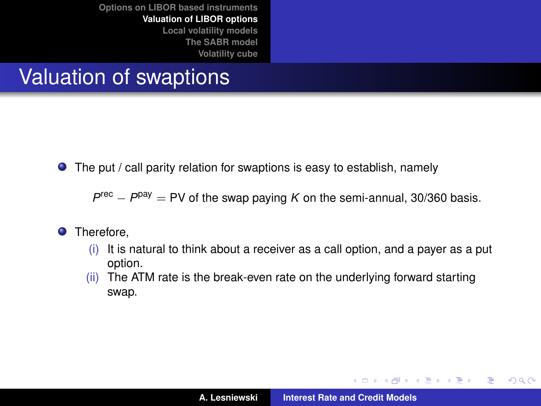## Valuation of swaptions

● The put / call parity relation for swaptions is easy to establish, namely

 $P^{\text{rec}} - P^{\text{pay}} = \text{PV}$  of the swap paying *K* on the semi-annual, 30/360 basis.

- **O** Therefore.
	- $(i)$  It is natural to think about a receiver as a call option, and a payer as a put option.
	- (ii) The ATM rate is the break-even rate on the underlying forward starting swap.

イロメ イ団メ イヨメ イヨメー

 $299$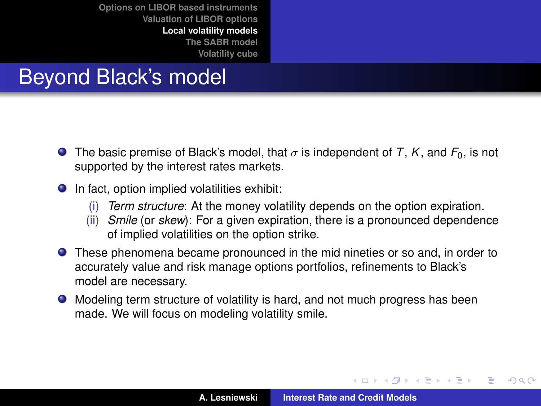# Beyond Black's model

- **The basic premise of Black's model, that**  $\sigma$  **is independent of** *T***,** *K***, and**  $F_0$ **, is not** supported by the interest rates markets.
- In fact, option implied volatilities exhibit:
	- (i) *Term structure*: At the money volatility depends on the option expiration.
	- (ii) *Smile* (or *skew*): For a given expiration, there is a pronounced dependence of implied volatilities on the option strike.
- These phenomena became pronounced in the mid nineties or so and, in order to accurately value and risk manage options portfolios, refinements to Black's model are necessary.
- Modeling term structure of volatility is hard, and not much progress has been made. We will focus on modeling volatility smile.

イロメ イ部メ イ君メ イ君メー

<span id="page-34-0"></span> $299$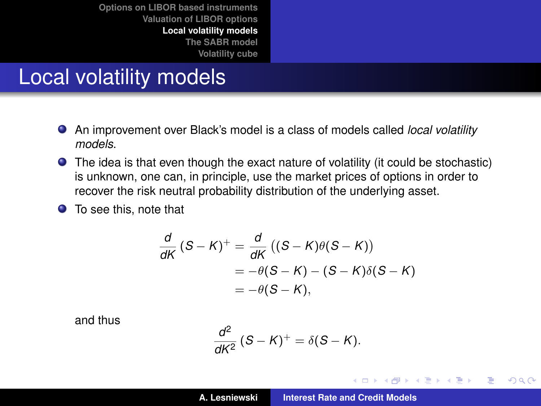## Local volatility models

- An improvement over Black's model is a class of models called *local volatility models*.
- The idea is that even though the exact nature of volatility (it could be stochastic) is unknown, one can, in principle, use the market prices of options in order to recover the risk neutral probability distribution of the underlying asset.
- **•** To see this, note that

$$
\frac{d}{dK} (S - K)^+ = \frac{d}{dK} ((S - K)\theta(S - K))
$$
  
= -\theta(S - K) - (S - K)\delta(S - K)  
= -\theta(S - K),

and thus

$$
\frac{d^2}{dK^2}(S-K)^+=\delta(S-K).
$$

イロメ イ部メ イ君メ イ君メー

 $299$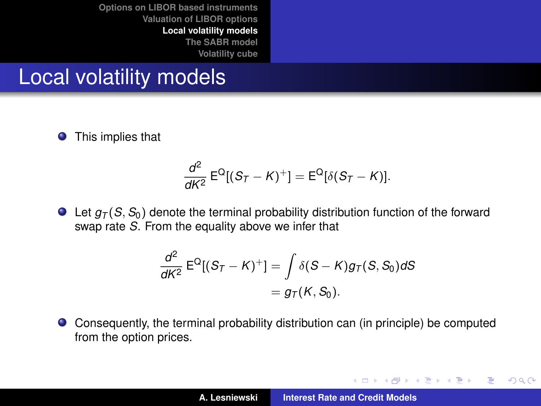#### Local volatility models

**O** This implies that

$$
\frac{d^2}{dK^2} \mathsf{E}^{\mathsf{Q}}[(S_T - K)^+] = \mathsf{E}^{\mathsf{Q}}[\delta(S_T - K)].
$$

 $\bullet$  Let  $q_T(S, S_0)$  denote the terminal probability distribution function of the forward swap rate *S*. From the equality above we infer that

$$
\frac{d^2}{dK^2} \mathsf{E}^{\mathsf{Q}}[(S_T - K)^+] = \int \delta(S - K) g_T(S, S_0) dS
$$
  
=  $g_T(K, S_0).$ 

Consequently, the terminal probability distribution can (in principle) be computed  $\bullet$ from the option prices.

イロメ イ部メ イヨメ イヨメー

 $299$ 

重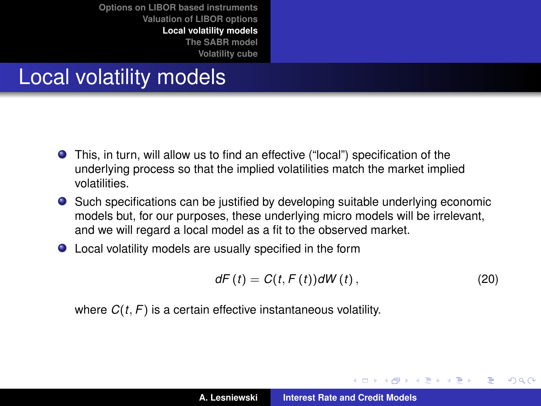### Local volatility models

- This, in turn, will allow us to find an effective ("local") specification of the underlying process so that the implied volatilities match the market implied volatilities.
- Such specifications can be justified by developing suitable underlying economic models but, for our purposes, these underlying micro models will be irrelevant, and we will regard a local model as a fit to the observed market.
- Local volatility models are usually specified in the form

$$
dF(t) = C(t, F(t))dW(t), \qquad (20)
$$

イロメ イ部メ イヨメ イヨメー

Þ

 $QQ$ 

where *C*(*t*, *F*) is a certain effective instantaneous volatility.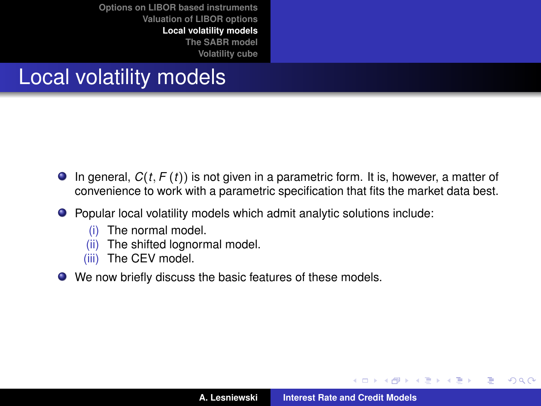### Local volatility models

- $\bullet$  In general,  $C(t, F(t))$  is not given in a parametric form. It is, however, a matter of convenience to work with a parametric specification that fits the market data best.
- Popular local volatility models which admit analytic solutions include:
	- (i) The normal model.
	- (ii) The shifted lognormal model.
	- (iii) The CEV model.
- We now briefly discuss the basic features of these models.

す 伊 メ マ ヨ メ マ ヨ メ

重

 $298$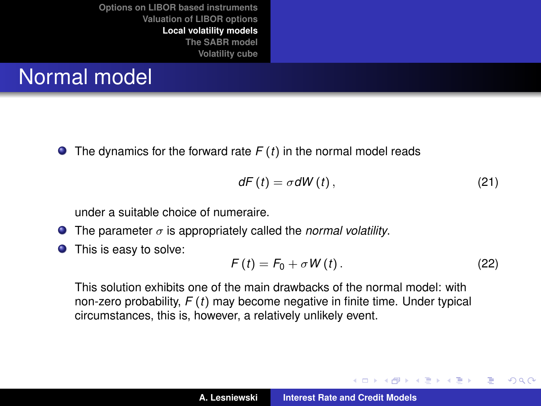## Normal model

 $\bullet$  The dynamics for the forward rate  $F(t)$  in the normal model reads

$$
dF(t) = \sigma dW(t), \qquad (21)
$$

under a suitable choice of numeraire.

- The parameter  $\sigma$  is appropriately called the *normal volatility*.  $\bullet$
- This is easy to solve:  $\bullet$

<span id="page-39-0"></span>
$$
F(t) = F_0 + \sigma W(t). \qquad (22)
$$

イロメ イ部メ イヨメ イヨメー

 $299$ 

Þ

This solution exhibits one of the main drawbacks of the normal model: with non-zero probability, *F* (*t*) may become negative in finite time. Under typical circumstances, this is, however, a relatively unlikely event.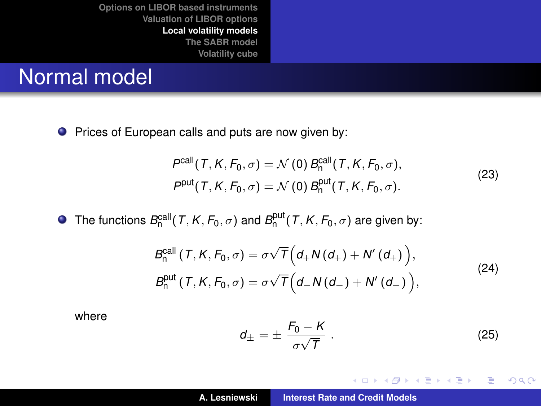### Normal model

**Prices of European calls and puts are now given by:** 

$$
P^{\text{call}}(T, K, F_0, \sigma) = \mathcal{N}(0) B^{\text{call}}_{n}(T, K, F_0, \sigma),
$$
  
\n
$$
P^{\text{put}}(T, K, F_0, \sigma) = \mathcal{N}(0) B^{\text{put}}_{n}(T, K, F_0, \sigma).
$$
\n(23)

The functions  $B_n^{\text{call}}(T, K, F_0, \sigma)$  and  $B_n^{\text{put}}(T, K, F_0, \sigma)$  are given by:

$$
B_n^{\text{call}}\left(T, K, F_0, \sigma\right) = \sigma \sqrt{T}\left(d_+ N\left(d_+\right) + N'\left(d_+\right)\right),
$$
\n
$$
B_n^{\text{put}}\left(T, K, F_0, \sigma\right) = \sigma \sqrt{T}\left(d_- N\left(d_-\right) + N'\left(d_-\right)\right),
$$
\n(24)

where

$$
d_{\pm} = \pm \frac{F_0 - K}{\sigma \sqrt{T}} \ . \tag{25}
$$

イロメ イ部メ イヨメ イヨメー

重

<span id="page-40-0"></span> $299$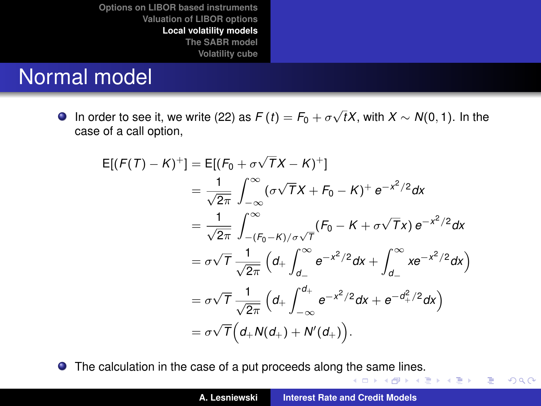### Normal model

In order to see it, we write [\(22\)](#page-39-0) as  $F(t) = F_0 + \sigma \sqrt{t}X$ , with  $X \sim N(0, 1)$ . In the case of a call option,

$$
E[(F(T) - K)^+] = E[(F_0 + \sigma \sqrt{T}X - K)^+]
$$
  
\n
$$
= \frac{1}{\sqrt{2\pi}} \int_{-\infty}^{\infty} (\sigma \sqrt{T}X + F_0 - K)^+ e^{-x^2/2} dx
$$
  
\n
$$
= \frac{1}{\sqrt{2\pi}} \int_{-(F_0 - K)/\sigma \sqrt{T}}^{\infty} (F_0 - K + \sigma \sqrt{T}X) e^{-x^2/2} dx
$$
  
\n
$$
= \sigma \sqrt{T} \frac{1}{\sqrt{2\pi}} \left( d_+ \int_{d_-}^{\infty} e^{-x^2/2} dx + \int_{d_-}^{\infty} x e^{-x^2/2} dx \right)
$$
  
\n
$$
= \sigma \sqrt{T} \frac{1}{\sqrt{2\pi}} \left( d_+ \int_{-\infty}^{d_+} e^{-x^2/2} dx + e^{-d_+^2/2} dx \right)
$$
  
\n
$$
= \sigma \sqrt{T} \left( d_+ N(d_+) + N'(d_+) \right).
$$

The calculation in the case of a put proceeds along [the](#page-40-0) [sa](#page-42-0)[m](#page-40-0)[e li](#page-41-0)[n](#page-42-0)[es](#page-33-0)[.](#page-34-0)

イロメ イ部メ イヨメ イヨメー

重

<span id="page-41-0"></span> $299$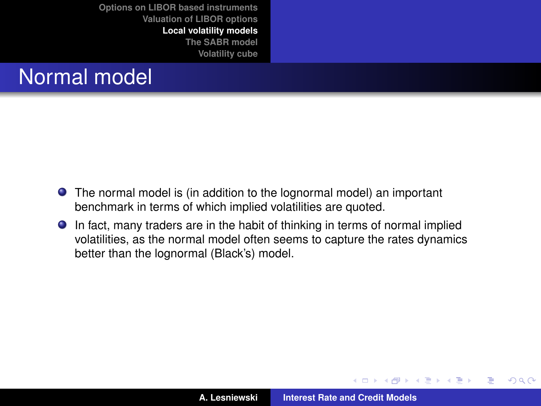## Normal model

- The normal model is (in addition to the lognormal model) an important benchmark in terms of which implied volatilities are quoted.
- In fact, many traders are in the habit of thinking in terms of normal implied volatilities, as the normal model often seems to capture the rates dynamics better than the lognormal (Black's) model.

イロメ イ部メ イヨメ イヨメー

 $299$ 

<span id="page-42-0"></span>重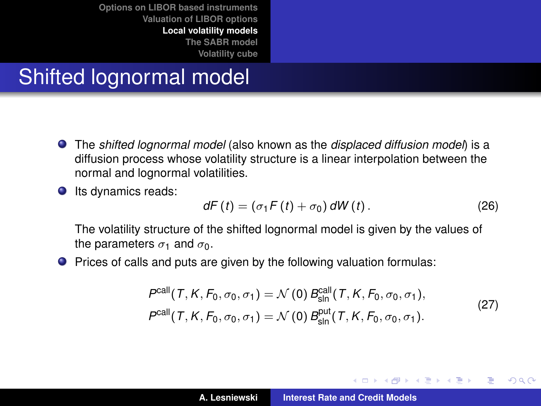### Shifted lognormal model

- The *shifted lognormal model* (also known as the *displaced diffusion model*) is a diffusion process whose volatility structure is a linear interpolation between the normal and lognormal volatilities.
- **O** Its dynamics reads:

$$
dF(t) = (\sigma_1 F(t) + \sigma_0) dW(t).
$$
 (26)

イロメ イ部メ イヨメ イヨメー

Þ

 $298$ 

The volatility structure of the shifted lognormal model is given by the values of the parameters  $\sigma_1$  and  $\sigma_0$ .

**P** Prices of calls and puts are given by the following valuation formulas:

$$
P^{\text{call}}(T, K, F_0, \sigma_0, \sigma_1) = \mathcal{N}(0) B^{\text{call}}_{\text{sln}}(T, K, F_0, \sigma_0, \sigma_1),
$$
  
\n
$$
P^{\text{call}}(T, K, F_0, \sigma_0, \sigma_1) = \mathcal{N}(0) B^{\text{put}}_{\text{sln}}(T, K, F_0, \sigma_0, \sigma_1).
$$
 (27)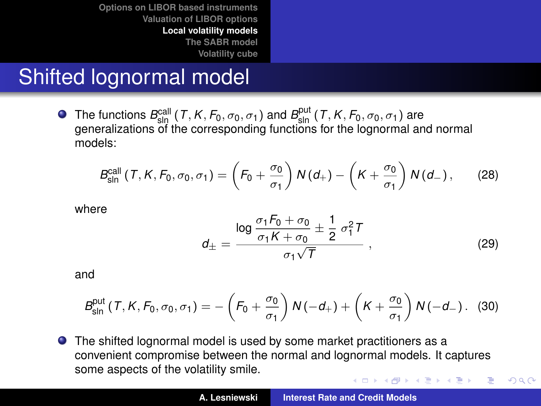### Shifted lognormal model

The functions  $B_{\text{slp}}^{\text{call}}(T, K, F_0, \sigma_0, \sigma_1)$  and  $B_{\text{sln}}^{\text{put}}(T, K, F_0, \sigma_0, \sigma_1)$  are generalizations of the corresponding functions for the lognormal and normal models:

$$
B_{\text{sln}}^{\text{call}}\left(T,K,F_0,\sigma_0,\sigma_1\right)=\left(F_0+\frac{\sigma_0}{\sigma_1}\right)N\left(d_+\right)-\left(K+\frac{\sigma_0}{\sigma_1}\right)N\left(d_-\right),\qquad(28)
$$

where

$$
d_{\pm} = \frac{\log \frac{\sigma_1 F_0 + \sigma_0}{\sigma_1 K + \sigma_0} \pm \frac{1}{2} \sigma_1^2 T}{\sigma_1 \sqrt{T}},
$$
 (29)

 $299$ 

and

$$
B_{\text{sln}}^{\text{put}}(T, K, F_0, \sigma_0, \sigma_1) = -\left(F_0 + \frac{\sigma_0}{\sigma_1}\right)N(-d_+) + \left(K + \frac{\sigma_0}{\sigma_1}\right)N(-d_-). \quad (30)
$$

**•** The shifted lognormal model is used by some market practitioners as a convenient compromise between the normal and lognormal models. It captures some aspects of the volatility smile. イロメ イ部メ イヨメ イヨメー E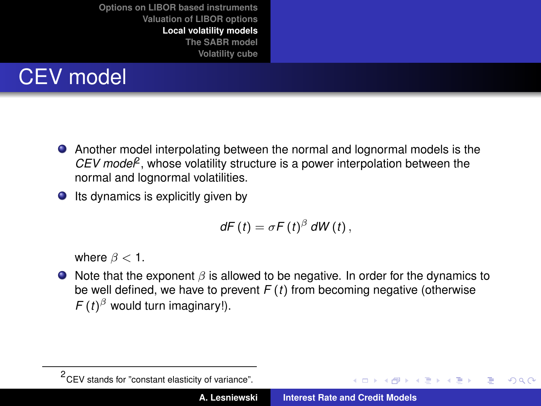

- Another model interpolating between the normal and lognormal models is the *CEV model*<sup>2</sup> , whose volatility structure is a power interpolation between the normal and lognormal volatilities.
- $\bullet$  Its dynamics is explicitly given by

$$
dF(t) = \sigma F(t)^{\beta} dW(t),
$$

where  $\beta < 1$ .

 $\bullet$  Note that the exponent  $\beta$  is allowed to be negative. In order for the dynamics to be well defined, we have to prevent *F* (*t*) from becoming negative (otherwise  $F(t)^{\beta}$  would turn imaginary!).

 $\left\{ \begin{array}{ccc} 1 & 0 & 0 \\ 0 & 1 & 0 \end{array} \right.$ 

 $QQQ$ Þ

<sup>&</sup>lt;sup>2</sup> CEV stands for "constant elasticity of variance".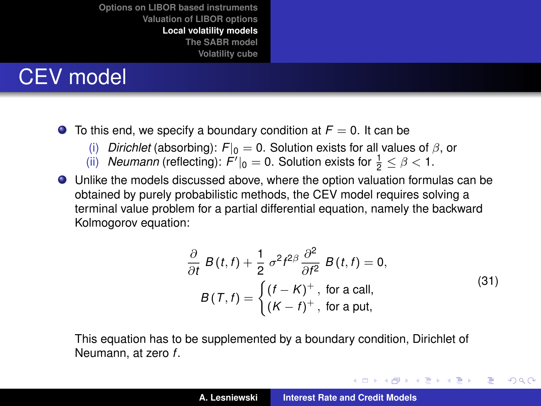## CEV model

- $\bullet$  To this end, we specify a boundary condition at  $F = 0$ . It can be
	- (i) *Dirichlet* (absorbing):  $F|_0 = 0$ . Solution exists for all values of  $\beta$ , or (ii) *Neumann (reflecting): F'* $I_0 = 0$ . Solution exists for  $\frac{1}{2} < \beta < 1$ .
	- (ii) *Neumann* (reflecting):  $F'|_0 = 0$ . Solution exists for  $\frac{1}{2} \le \beta < 1$ .
- Unlike the models discussed above, where the option valuation formulas can be obtained by purely probabilistic methods, the CEV model requires solving a terminal value problem for a partial differential equation, namely the backward Kolmogorov equation:

$$
\frac{\partial}{\partial t} B(t, t) + \frac{1}{2} \sigma^2 t^{2\beta} \frac{\partial^2}{\partial t^2} B(t, t) = 0,
$$
  
\n
$$
B(T, t) = \begin{cases} (t - K)^+, & \text{for a call,} \\ (K - t)^+, & \text{for a put,} \end{cases}
$$
\n(31)

<span id="page-46-0"></span>イロメ イ部メ イヨメ イヨメー

 $299$ 

Þ

This equation has to be supplemented by a boundary condition, Dirichlet of Neumann, at zero *f*.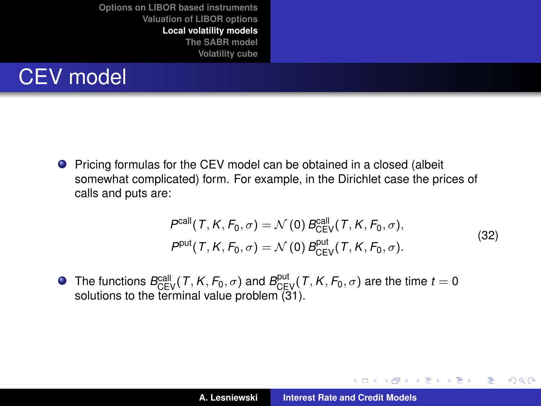

**P** Pricing formulas for the CEV model can be obtained in a closed (albeit somewhat complicated) form. For example, in the Dirichlet case the prices of calls and puts are:

$$
Pcall(T, K, F0, \sigma) = \mathcal{N}(0) BcallCEV(T, K, F0, \sigma),
$$
  
\n
$$
Pput(T, K, F0, \sigma) = \mathcal{N}(0) BoutCEV(T, K, F0, \sigma).
$$
\n(32)

イロメ イ部メ イヨメ イヨメー

 $299$ 重

The functions  $B_{\text{CEV}}^{\text{call}}(T, K, F_0, \sigma)$  and  $B_{\text{CEV}}^{\text{put}}(T, K, F_0, \sigma)$  are the time  $t = 0$ solutions to the terminal value problem  $(31)$ .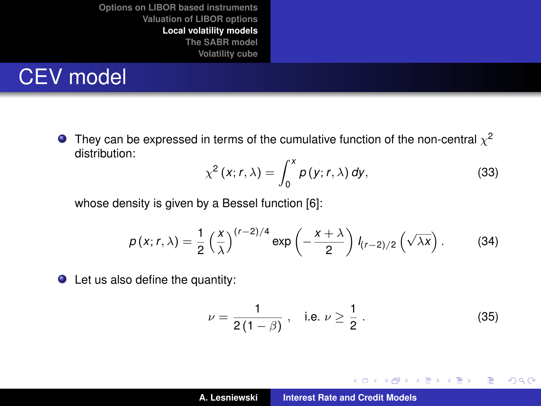### CEV model

They can be expressed in terms of the cumulative function of the non-central  $\chi^2$ distribution:

$$
\chi^2(x; r, \lambda) = \int_0^x p(y; r, \lambda) dy,
$$
 (33)

whose density is given by a Bessel function [\[6\]](#page-75-0):

$$
p(x; r, \lambda) = \frac{1}{2} \left(\frac{x}{\lambda}\right)^{(r-2)/4} \exp\left(-\frac{x+\lambda}{2}\right) l_{(r-2)/2} \left(\sqrt{\lambda x}\right).
$$
 (34)

● Let us also define the quantity:

$$
\nu = \frac{1}{2(1-\beta)} , \quad \text{i.e. } \nu \ge \frac{1}{2} . \tag{35}
$$

イロメ イ部メ イヨメ イヨメー

 $299$ 

重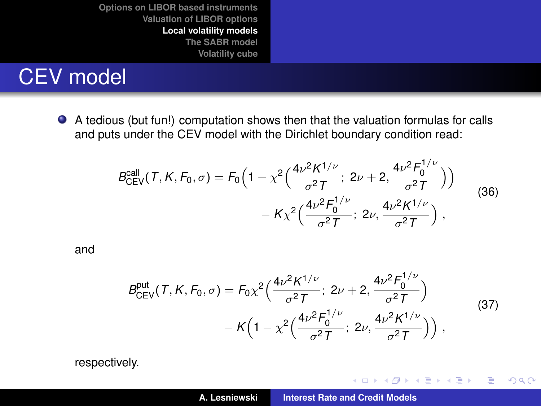### CEV model

A tedious (but fun!) computation shows then that the valuation formulas for calls and puts under the CEV model with the Dirichlet boundary condition read:

$$
B_{\text{CEV}}^{\text{call}}(T, K, F_0, \sigma) = F_0 \Big( 1 - \chi^2 \Big( \frac{4\nu^2 K^{1/\nu}}{\sigma^2 T}; \ 2\nu + 2, \frac{4\nu^2 F_0^{1/\nu}}{\sigma^2 T} \Big) \Big) - K \chi^2 \Big( \frac{4\nu^2 F_0^{1/\nu}}{\sigma^2 T}; \ 2\nu, \frac{4\nu^2 K^{1/\nu}}{\sigma^2 T} \Big) , \tag{36}
$$

and

$$
B_{CEV}^{\text{put}}(T, K, F_0, \sigma) = F_0 \chi^2 \Big( \frac{4\nu^2 K^{1/\nu}}{\sigma^2 T}; 2\nu + 2, \frac{4\nu^2 F_0^{1/\nu}}{\sigma^2 T} \Big) - K \Big( 1 - \chi^2 \Big( \frac{4\nu^2 F_0^{1/\nu}}{\sigma^2 T}; 2\nu, \frac{4\nu^2 K^{1/\nu}}{\sigma^2 T} \Big) \Big) ,
$$
 (37)

イロメ イ部メ イヨメ イヨメー

重

<span id="page-49-0"></span> $299$ 

respectively.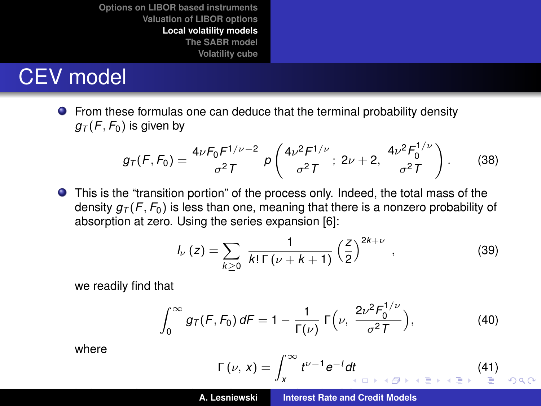### CEV model

**•** From these formulas one can deduce that the terminal probability density  $g_T(F, F_0)$  is given by

$$
g_T(F, F_0) = \frac{4\nu F_0 F^{1/\nu - 2}}{\sigma^2 T} \rho \left( \frac{4\nu^2 F^{1/\nu}}{\sigma^2 T}; \ 2\nu + 2, \ \frac{4\nu^2 F_0^{1/\nu}}{\sigma^2 T} \right). \tag{38}
$$

This is the "transition portion" of the process only. Indeed, the total mass of the density  $g_T(F, F_0)$  is less than one, meaning that there is a nonzero probability of absorption at zero. Using the series expansion [\[6\]](#page-75-0):

$$
I_{\nu}(z) = \sum_{k \ge 0} \frac{1}{k! \Gamma(\nu + k + 1)} \left(\frac{z}{2}\right)^{2k + \nu}, \qquad (39)
$$

we readily find that

$$
\int_0^\infty g_T(F, F_0) dF = 1 - \frac{1}{\Gamma(\nu)} \Gamma(\nu, \frac{2\nu^2 F_0^{1/\nu}}{\sigma^2 T}), \tag{40}
$$

where

$$
\Gamma(\nu, x) = \int_{x}^{\infty} t^{\nu - 1} e^{-t} dt
$$
 (41)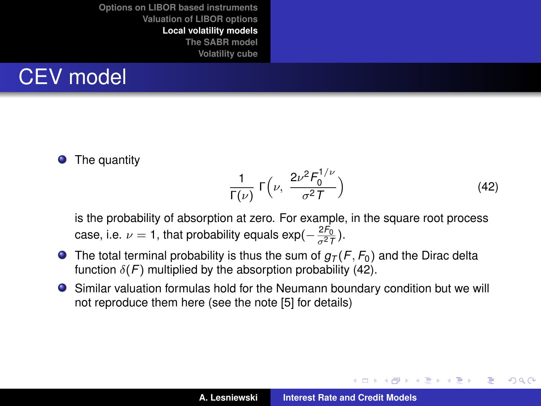

The quantity  $\bullet$ 

<span id="page-51-0"></span>
$$
\frac{1}{\Gamma(\nu)} \Gamma\left(\nu, \ \frac{2\nu^2 F_0^{1/\nu}}{\sigma^2 T}\right) \tag{42}
$$

イロメ イ部メ イ君メ イ君メー

<span id="page-51-1"></span>重  $2Q$ 

is the probability of absorption at zero. For example, in the square root process case, i.e.  $\nu = 1$ , that probability equals  $\exp(-\frac{2F_0}{\sigma^2T})$ .

- **O** The total terminal probability is thus the sum of  $g<sub>T</sub>(F, F<sub>0</sub>)$  and the Dirac delta function  $\delta(F)$  multiplied by the absorption probability [\(42\)](#page-51-0).
- Similar valuation formulas hold for the Neumann boundary condition but we will not reproduce them here (see the note [\[5\]](#page-75-2) for details)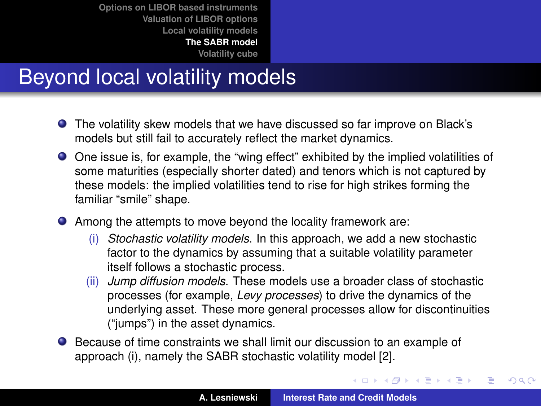## Beyond local volatility models

- The volatility skew models that we have discussed so far improve on Black's models but still fail to accurately reflect the market dynamics.
- One issue is, for example, the "wing effect" exhibited by the implied volatilities of some maturities (especially shorter dated) and tenors which is not captured by these models: the implied volatilities tend to rise for high strikes forming the familiar "smile" shape.
- Among the attempts to move beyond the locality framework are:
	- (i) *Stochastic volatility models*. In this approach, we add a new stochastic factor to the dynamics by assuming that a suitable volatility parameter itself follows a stochastic process.
	- (ii) *Jump diffusion models*. These models use a broader class of stochastic processes (for example, *Levy processes*) to drive the dynamics of the underlying asset. These more general processes allow for discontinuities ("jumps") in the asset dynamics.
- Because of time constraints we shall limit our discussion to an example of approach (i), namely the SABR stochastic volatility model [\[2\]](#page-75-3).

イロメ イ部メ イヨメ イヨメー

<span id="page-52-0"></span> $299$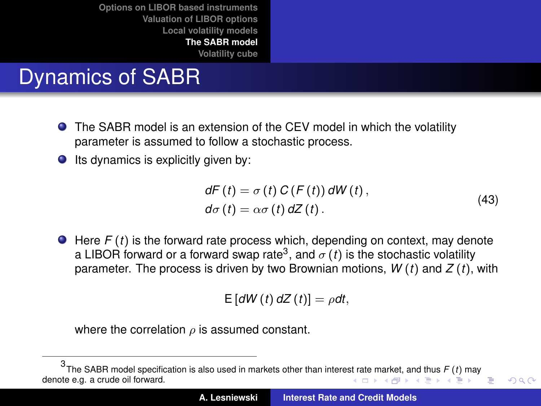## Dynamics of SABR

- The SABR model is an extension of the CEV model in which the volatility parameter is assumed to follow a stochastic process.
- $\bullet$  Its dynamics is explicitly given by:

<span id="page-53-1"></span>
$$
dF(t) = \sigma(t) C(F(t)) dW(t),
$$
  
\n
$$
d\sigma(t) = \alpha \sigma(t) dZ(t).
$$
\n(43)

<span id="page-53-0"></span> $QQ$ 

● Here *F* (*t*) is the forward rate process which, depending on context, may denote a LIBOR forward or a forward swap rate<sup>3</sup>, and  $\sigma\left(t\right)$  is the stochastic volatility parameter. The process is driven by two Brownian motions, *W* (*t*) and *Z* (*t*), with

 $E\left[ dW(t) dZ(t) \right] = \rho dt$ ,

where the correlation  $\rho$  is assumed constant.

<sup>3</sup> The SABR model specification is also used in markets other than intere[st ra](#page-52-0)t[e m](#page-54-0)[ar](#page-52-0)[ket,](#page-53-0) [a](#page-54-0)[nd](#page-51-1) [t](#page-52-0)[hu](#page-65-0)[s](#page-66-0) *[F](#page-51-1)* [\(](#page-52-0)*t*) [ma](#page-66-0)[y](#page-0-0) denote e.g. a crude oil forward. K ロ ▶ K 御 ▶ K 唐 ▶ K 唐 ▶ 『唐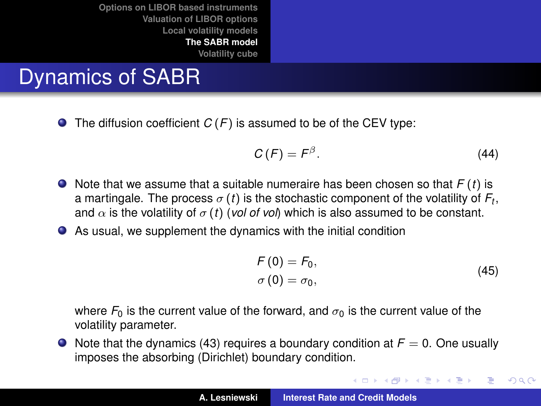## Dynamics of SABR

 $\bullet$  The diffusion coefficient  $C(F)$  is assumed to be of the CEV type:

$$
C(F) = F^{\beta}.
$$
 (44)

- $\bullet$  Note that we assume that a suitable numeraire has been chosen so that  $F(t)$  is a martingale. The process  $\sigma\left( t\right)$  is the stochastic component of the volatility of  $F_{t},$ and  $\alpha$  is the volatility of  $\sigma$  (*t*) (*vol of vol*) which is also assumed to be constant.
- As usual, we supplement the dynamics with the initial condition

$$
F(0) = F_0,
$$
  
\n
$$
\sigma(0) = \sigma_0,
$$
\n(45)

イロメ イ団メ イヨメ イヨメー

重

<span id="page-54-0"></span> $299$ 

where  $F_0$  is the current value of the forward, and  $\sigma_0$  is the current value of the volatility parameter.

 $\bullet$  Note that the dynamics [\(43\)](#page-53-1) requires a boundary condition at  $F = 0$ . One usually imposes the absorbing (Dirichlet) boundary condition.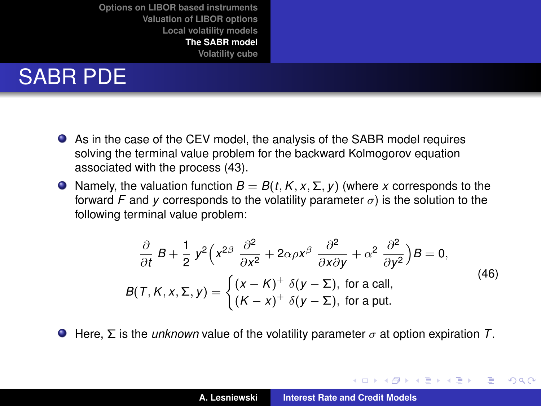## SABR PDE

- As in the case of the CEV model, the analysis of the SABR model requires solving the terminal value problem for the backward Kolmogorov equation associated with the process [\(43\)](#page-53-1).
- $\bullet$  Namely, the valuation function  $B = B(t, K, x, \Sigma, y)$  (where *x* corresponds to the forward *F* and *y* corresponds to the volatility parameter  $\sigma$ ) is the solution to the following terminal value problem:

$$
\frac{\partial}{\partial t} B + \frac{1}{2} y^2 \left( x^{2\beta} \frac{\partial^2}{\partial x^2} + 2\alpha \rho x^{\beta} \frac{\partial^2}{\partial x \partial y} + \alpha^2 \frac{\partial^2}{\partial y^2} \right) B = 0,
$$
  
\n
$$
B(T, K, x, \Sigma, y) = \begin{cases} (x - K)^+ & \delta(y - \Sigma), \text{ for a call,} \\ (K - x)^+ & \delta(y - \Sigma), \text{ for a put.} \end{cases}
$$
(46)

**Here, Σ** is the *unknown* value of the volatility parameter  $\sigma$  at option expiration *T*.

K ロ ⊁ K 伊 ⊁ K 君 ⊁ K 君 ⊁ .

<span id="page-55-0"></span>Þ

 $298$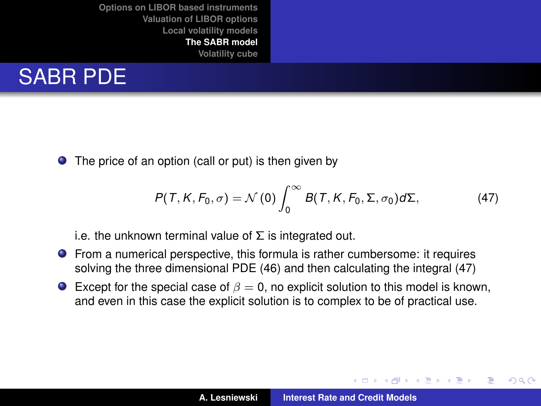

 $\bullet$ The price of an option (call or put) is then given by

<span id="page-56-0"></span>
$$
P(T, K, F_0, \sigma) = \mathcal{N}(0) \int_0^\infty B(T, K, F_0, \Sigma, \sigma_0) d\Sigma, \qquad (47)
$$

i.e. the unknown terminal value of  $\Sigma$  is integrated out.

- From a numerical perspective, this formula is rather cumbersome: it requires solving the three dimensional PDE [\(46\)](#page-55-0) and then calculating the integral [\(47\)](#page-56-0)
- **Except for the special case of**  $\beta = 0$ **, no explicit solution to this model is known,** and even in this case the explicit solution is to complex to be of practical use.

(ロトス個) (運) (運)

<span id="page-56-1"></span>Þ  $2Q$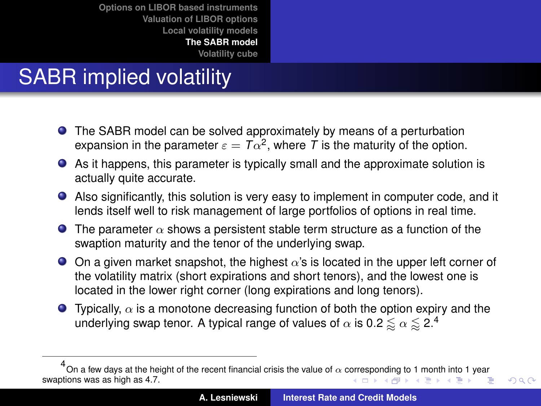# SABR implied volatility

- **•** The SABR model can be solved approximately by means of a perturbation expansion in the parameter  $\varepsilon = T\alpha^2$ , where  $T$  is the maturity of the option.
- As it happens, this parameter is typically small and the approximate solution is actually quite accurate.
- Also significantly, this solution is very easy to implement in computer code, and it lends itself well to risk management of large portfolios of options in real time.
- **The parameter**  $\alpha$  shows a persistent stable term structure as a function of the swaption maturity and the tenor of the underlying swap.
- $\bullet$  On a given market snapshot, the highest  $\alpha$ 's is located in the upper left corner of the volatility matrix (short expirations and short tenors), and the lowest one is located in the lower right corner (long expirations and long tenors).
- **Typically,**  $\alpha$  **is a monotone decreasing function of both the option expiry and the** underlying swap tenor. A typical range of values of  $\alpha$  is 0.2  $\lessapprox \alpha \lessapprox$  2.4

<span id="page-57-0"></span> $298$ 

 $^4$ On a few days at the height [o](#page-65-0)f the rece[nt](#page-52-0) financial crisis the value of  $\alpha$  [corre](#page-56-1)s[po](#page-58-0)[nd](#page-56-1)[ing](#page-57-0) [to](#page-58-0) [1](#page-51-1) [m](#page-52-0)o[nth](#page-66-0) [i](#page-51-1)nt[o](#page-65-0) [1 y](#page-66-0)[ear](#page-0-0) swaptions was as high as 4.7.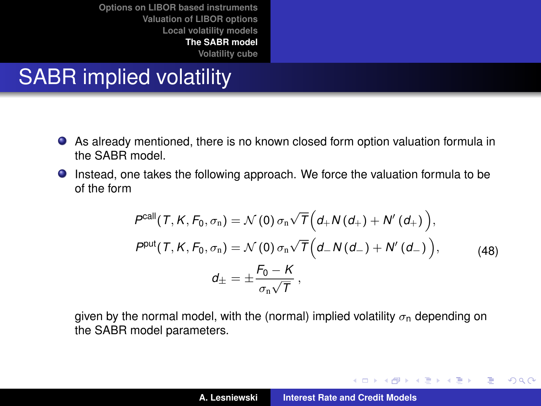## SABR implied volatility

- As already mentioned, there is no known closed form option valuation formula in the SABR model.
- Instead, one takes the following approach. We force the valuation formula to be of the form

$$
P^{\text{call}}(T, K, F_0, \sigma_n) = \mathcal{N}(0) \sigma_n \sqrt{T} \Big( d_+ N(d_+) + N'(d_+) \Big),
$$
  
\n
$$
P^{\text{put}}(T, K, F_0, \sigma_n) = \mathcal{N}(0) \sigma_n \sqrt{T} \Big( d_- N(d_-) + N'(d_-) \Big),
$$
  
\n
$$
d_{\pm} = \pm \frac{F_0 - K}{\sigma_n \sqrt{T}},
$$
\n(48)

given by the normal model, with the (normal) implied volatility  $\sigma_{\rm n}$  depending on the SABR model parameters.

イロメ イ部メ イヨメ イヨメー

 $299$ 

<span id="page-58-0"></span>重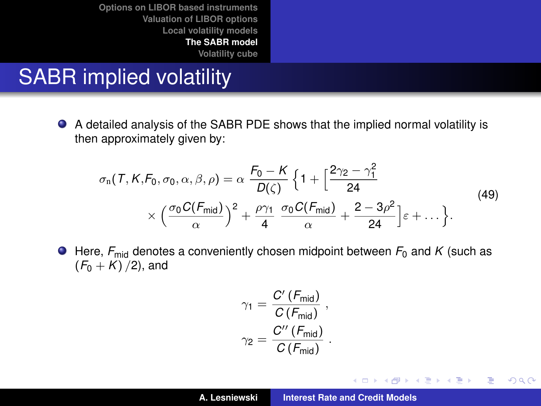## SABR implied volatility

 $\bullet$ A detailed analysis of the SABR PDE shows that the implied normal volatility is then approximately given by:

<span id="page-59-0"></span>
$$
\sigma_{n}(T, K, F_0, \sigma_0, \alpha, \beta, \rho) = \alpha \frac{F_0 - K}{D(\zeta)} \left\{ 1 + \left[ \frac{2\gamma_2 - \gamma_1^2}{24} \times \left( \frac{\sigma_0 C(F_{\text{mid}})}{\alpha} \right)^2 + \frac{\rho \gamma_1}{4} \frac{\sigma_0 C(F_{\text{mid}})}{\alpha} + \frac{2 - 3\rho^2}{24} \right] \varepsilon + \dots \right\}.
$$
\n(49)

 $\bullet$  Here,  $F_{mid}$  denotes a conveniently chosen midpoint between  $F_0$  and K (such as  $(F_0 + K)/2$ , and

$$
\gamma_1 = \frac{C'(F_{\text{mid}})}{C(F_{\text{mid}})},
$$

$$
\gamma_2 = \frac{C''(F_{\text{mid}})}{C(F_{\text{mid}})}.
$$

イロメ イ部メ イヨメ イヨメー

 $299$ 

重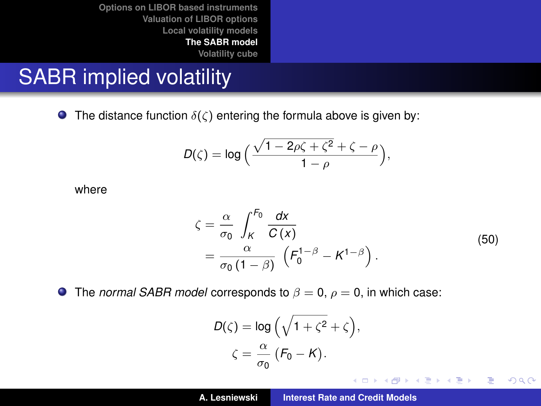### SABR implied volatility

**The distance function**  $\delta(\zeta)$  entering the formula above is given by:

$$
D(\zeta)=\log\Big(\frac{\sqrt{1-2\rho\zeta+\zeta^2}+\zeta-\rho}{1-\rho}\Big),\,
$$

where

$$
\zeta = \frac{\alpha}{\sigma_0} \int_K^{F_0} \frac{dx}{C(x)}
$$
  
= 
$$
\frac{\alpha}{\sigma_0 (1 - \beta)} \left( F_0^{1 - \beta} - K^{1 - \beta} \right).
$$
 (50)

イロメ イ部メ イヨメ イヨメー

 $299$ 

重

**The** *normal SABR model* corresponds to  $\beta = 0$ ,  $\rho = 0$ , in which case:

$$
D(\zeta) = \log \left( \sqrt{1 + \zeta^2} + \zeta \right),
$$
  

$$
\zeta = \frac{\alpha}{\sigma_0} \left( F_0 - K \right).
$$

**A. Lesniewski [Interest Rate and Credit Models](#page-0-0)**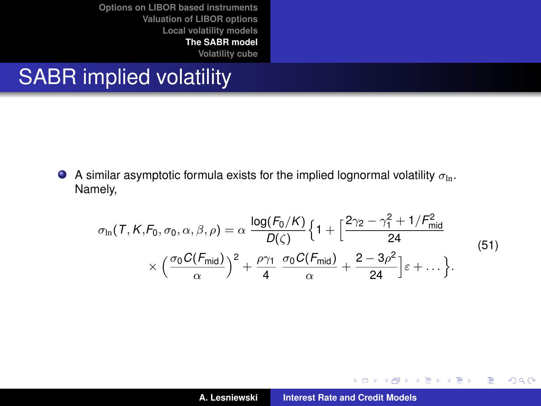### SABR implied volatility

A similar asymptotic formula exists for the implied lognormal volatility  $\sigma_{\ln}$ . Namely,

<span id="page-61-0"></span>
$$
\sigma_{\ln}(T, K, F_0, \sigma_0, \alpha, \beta, \rho) = \alpha \frac{\log(F_0/K)}{D(\zeta)} \Big\{ 1 + \Big[ \frac{2\gamma_2 - \gamma_1^2 + 1/F_{\text{mid}}^2}{24} \Big] \times \Big( \frac{\sigma_0 C(F_{\text{mid}})}{\alpha} \Big)^2 + \frac{\rho \gamma_1}{4} \frac{\sigma_0 C(F_{\text{mid}})}{\alpha} + \frac{2 - 3\rho^2}{24} \Big] \varepsilon + \dots \Big\}.
$$
\n(51)

イロメ イ部メ イヨメ イヨメー

重

 $299$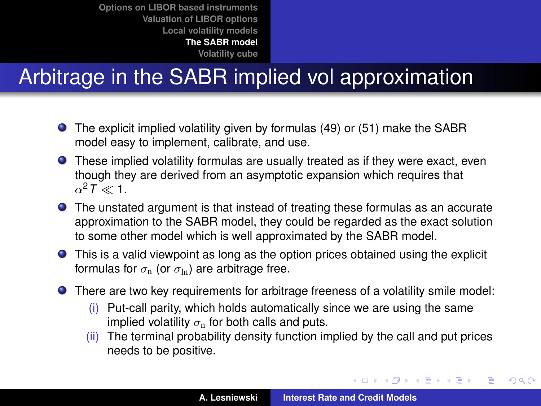## Arbitrage in the SABR implied vol approximation

- The explicit implied volatility given by formulas [\(49\)](#page-59-0) or [\(51\)](#page-61-0) make the SABR model easy to implement, calibrate, and use.
- These implied volatility formulas are usually treated as if they were exact, even though they are derived from an asymptotic expansion which requires that  $\alpha^2$ *T*  $\ll$  1.
- The unstated argument is that instead of treating these formulas as an accurate approximation to the SABR model, they could be regarded as the exact solution to some other model which is well approximated by the SABR model.
- This is a valid viewpoint as long as the option prices obtained using the explicit formulas for  $\sigma_{\rm n}$  (or  $\sigma_{\rm ln}$ ) are arbitrage free.
- There are two key requirements for arbitrage freeness of a volatility smile model:
	- (i) Put-call parity, which holds automatically since we are using the same implied volatility  $\sigma_{\rm n}$  for both calls and puts.
	- (ii) The terminal probability density function implied by the call and put prices needs to be positive.

イロメ イ部メ イ君メ イ君メー

 $299$ 

Þ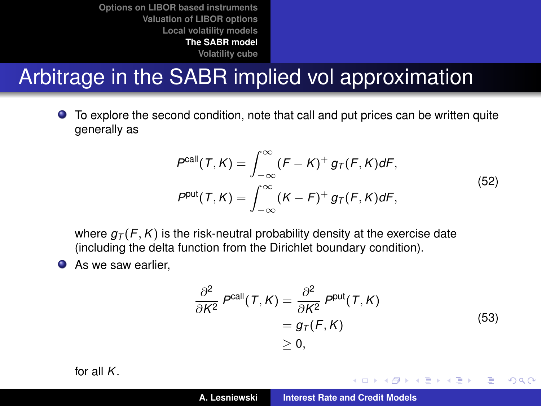### Arbitrage in the SABR implied vol approximation

To explore the second condition, note that call and put prices can be written quite  $\bullet$ generally as

$$
P^{\text{call}}(T,K) = \int_{-\infty}^{\infty} (F - K)^{+} g_{T}(F,K) dF,
$$
  
\n
$$
P^{\text{put}}(T,K) = \int_{-\infty}^{\infty} (K - F)^{+} g_{T}(F,K) dF,
$$
\n(52)

where  $g_T(F, K)$  is the risk-neutral probability density at the exercise date (including the delta function from the Dirichlet boundary condition).

● As we saw earlier,

$$
\frac{\partial^2}{\partial K^2} P^{\text{call}}(T, K) = \frac{\partial^2}{\partial K^2} P^{\text{put}}(T, K)
$$
  
=  $g_T(F, K)$   
\ge 0, (53)

イロメ イ部メ イヨメ イヨメー

重

 $298$ 

<span id="page-63-0"></span>for all *K*.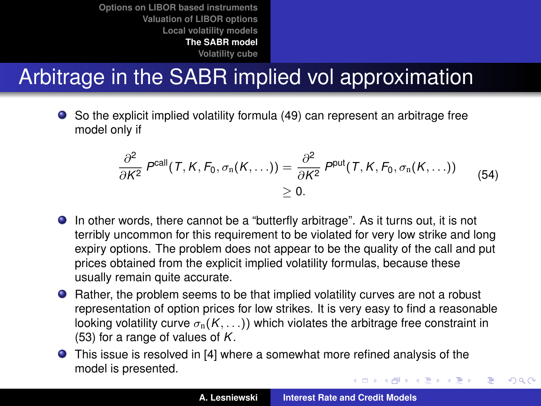## Arbitrage in the SABR implied vol approximation

So the explicit implied volatility formula [\(49\)](#page-59-0) can represent an arbitrage free model only if

$$
\frac{\partial^2}{\partial K^2} P^{\text{call}}(T, K, F_0, \sigma_n(K, \ldots)) = \frac{\partial^2}{\partial K^2} P^{\text{put}}(T, K, F_0, \sigma_n(K, \ldots)) \qquad (54)
$$
  

$$
\geq 0.
$$

- In other words, there cannot be a "butterfly arbitrage". As it turns out, it is not terribly uncommon for this requirement to be violated for very low strike and long expiry options. The problem does not appear to be the quality of the call and put prices obtained from the explicit implied volatility formulas, because these usually remain quite accurate.
- Rather, the problem seems to be that implied volatility curves are not a robust representation of option prices for low strikes. It is very easy to find a reasonable looking volatility curve  $\sigma_n(K, \ldots)$ ) which violates the arbitrage free constraint in [\(53\)](#page-63-0) for a range of values of *K*.
- This issue is resolved in [\[4\]](#page-75-4) where a somewhat more refined analysis of the model is presented. イロメ イ部メ イヨメ イヨメー

 $2Q$ 

Þ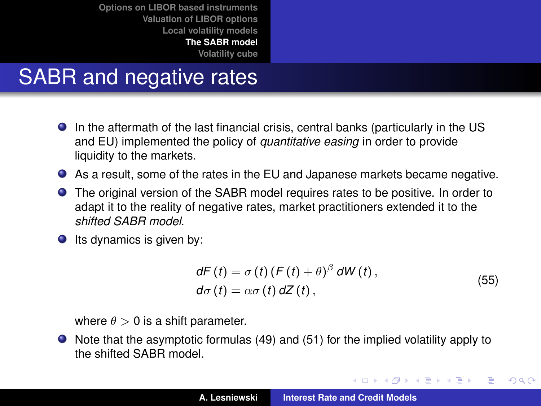### SABR and negative rates

- In the aftermath of the last financial crisis, central banks (particularly in the US and EU) implemented the policy of *quantitative easing* in order to provide liquidity to the markets.
- As a result, some of the rates in the EU and Japanese markets became negative.
- The original version of the SABR model requires rates to be positive. In order to adapt it to the reality of negative rates, market practitioners extended it to the *shifted SABR model*.
- $\bullet$  Its dynamics is given by:

$$
dF(t) = \sigma(t) (F(t) + \theta)^{\beta} dW(t),
$$
  
\n
$$
d\sigma(t) = \alpha \sigma(t) dZ(t),
$$
\n(55)

イロメ イ部メ イ君メ イ君メー

 $2Q$ 

<span id="page-65-0"></span>重

where  $\theta > 0$  is a shift parameter.

Note that the asymptotic formulas [\(49\)](#page-59-0) and [\(51\)](#page-61-0) for the implied volatility apply to the shifted SABR model.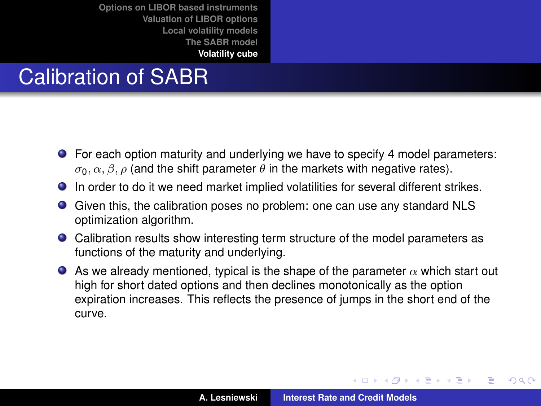## Calibration of SABR

- For each option maturity and underlying we have to specify 4 model parameters:  $\sigma_0$ ,  $\alpha$ ,  $\beta$ ,  $\rho$  (and the shift parameter  $\theta$  in the markets with negative rates).
- In order to do it we need market implied volatilities for several different strikes.
- Given this, the calibration poses no problem: one can use any standard NLS optimization algorithm.
- Calibration results show interesting term structure of the model parameters as functions of the maturity and underlying.
- As we already mentioned, typical is the shape of the parameter  $\alpha$  which start out high for short dated options and then declines monotonically as the option expiration increases. This reflects the presence of jumps in the short end of the curve.

イロメ イ部メ イヨメ イヨメー

 $2Q$ 

<span id="page-66-0"></span>Þ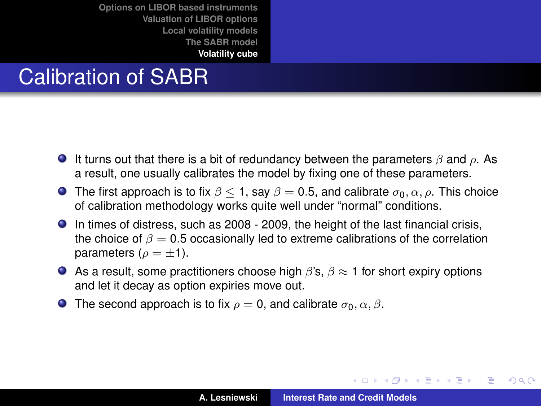## Calibration of SABR

- It turns out that there is a bit of redundancy between the parameters  $\beta$  and  $\rho$ . As a result, one usually calibrates the model by fixing one of these parameters.
- **The first approach is to fix**  $\beta$  < 1, say  $\beta$  = 0.5, and calibrate  $\sigma_0$ ,  $\alpha$ ,  $\rho$ . This choice of calibration methodology works quite well under "normal" conditions.
- In times of distress, such as 2008 2009, the height of the last financial crisis, the choice of  $\beta = 0.5$  occasionally led to extreme calibrations of the correlation parameters ( $\rho = \pm 1$ ).
- As a result, some practitioners choose high  $\beta$ 's,  $\beta \approx 1$  for short expiry options and let it decay as option expiries move out.
- **The second approach is to fix**  $\rho = 0$ , and calibrate  $\sigma_0$ ,  $\alpha$ ,  $\beta$ .

イロメ イ部メ イヨメ イヨメー

 $2Q$ ÷.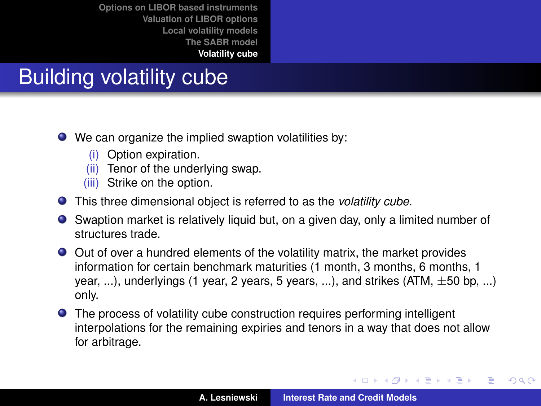## Building volatility cube

- We can organize the implied swaption volatilities by:
	- (i) Option expiration.
	- (ii) Tenor of the underlying swap.
	- (iii) Strike on the option.
- This three dimensional object is referred to as the *volatility cube*.
- Swaption market is relatively liquid but, on a given day, only a limited number of structures trade.
- Out of over a hundred elements of the volatility matrix, the market provides information for certain benchmark maturities (1 month, 3 months, 6 months, 1 year, ...), underlyings (1 year, 2 years, 5 years, ...), and strikes  $(ATM, \pm 50$  bp, ...) only.
- The process of volatility cube construction requires performing intelligent interpolations for the remaining expiries and tenors in a way that does not allow for arbitrage.

イロメ イ部メ イ君メ イ君メー

 $2Q$ 

Þ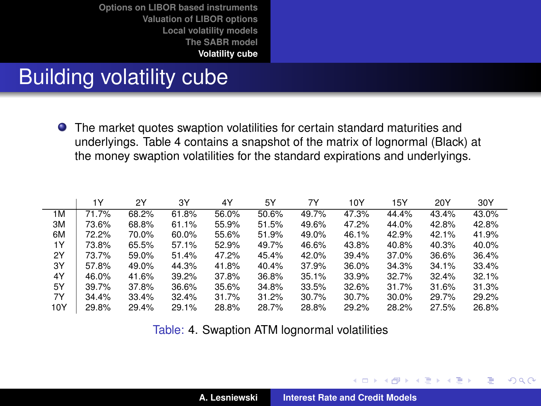### Building volatility cube

The market quotes swaption volatilities for certain standard maturities and underlyings. Table [4](#page-69-0) contains a snapshot of the matrix of lognormal (Black) at the money swaption volatilities for the standard expirations and underlyings.

|     | 1Υ    | 2Y    | 3Y    | 4Y    | 5Y    | 7Y    | 10Y   | 15Y   | 20Y   | 30Y   |
|-----|-------|-------|-------|-------|-------|-------|-------|-------|-------|-------|
| 1M  | 71.7% | 68.2% | 61.8% | 56.0% | 50.6% | 49.7% | 47.3% | 44.4% | 43.4% | 43.0% |
| ЗM  | 73.6% | 68.8% | 61.1% | 55.9% | 51.5% | 49.6% | 47.2% | 44.0% | 42.8% | 42.8% |
| 6M  | 72.2% | 70.0% | 60.0% | 55.6% | 51.9% | 49.0% | 46.1% | 42.9% | 42.1% | 41.9% |
| 1Y  | 73.8% | 65.5% | 57.1% | 52.9% | 49.7% | 46.6% | 43.8% | 40.8% | 40.3% | 40.0% |
| 2Y  | 73.7% | 59.0% | 51.4% | 47.2% | 45.4% | 42.0% | 39.4% | 37.0% | 36.6% | 36.4% |
| 3Y  | 57.8% | 49.0% | 44.3% | 41.8% | 40.4% | 37.9% | 36.0% | 34.3% | 34.1% | 33.4% |
| 4Y  | 46.0% | 41.6% | 39.2% | 37.8% | 36.8% | 35.1% | 33.9% | 32.7% | 32.4% | 32.1% |
| 5Y  | 39.7% | 37.8% | 36.6% | 35.6% | 34.8% | 33.5% | 32.6% | 31.7% | 31.6% | 31.3% |
| 7Y  | 34.4% | 33.4% | 32.4% | 31.7% | 31.2% | 30.7% | 30.7% | 30.0% | 29.7% | 29.2% |
| 10Y | 29.8% | 29.4% | 29.1% | 28.8% | 28.7% | 28.8% | 29.2% | 28.2% | 27.5% | 26.8% |

<span id="page-69-0"></span>Table: [4.](#page-69-0) Swaption ATM lognormal volatilities

(ロトス個) (運) (運)

 $299$ Þ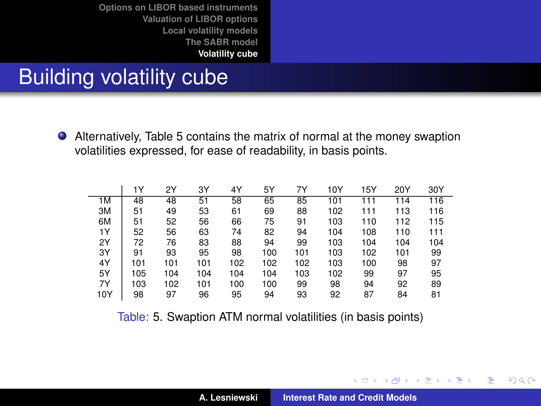### Building volatility cube

Alternatively, Table [5](#page-70-0) contains the matrix of normal at the money swaption volatilities expressed, for ease of readability, in basis points.

|     | 1Υ  | 2Y  | ЗY  | 4Y  | 5Υ  | 7Y  | 10Y | 15Y | 20Y | 30Y |
|-----|-----|-----|-----|-----|-----|-----|-----|-----|-----|-----|
| 1M  | 48  | 48  | 51  | 58  | 65  | 85  | 101 | 111 | 114 | 116 |
| 3M  | 51  | 49  | 53  | 61  | 69  | 88  | 102 | 111 | 113 | 116 |
| 6M  | 51  | 52  | 56  | 66  | 75  | 91  | 103 | 110 | 112 | 115 |
| 1Y  | 52  | 56  | 63  | 74  | 82  | 94  | 104 | 108 | 110 | 111 |
| 2Y  | 72  | 76  | 83  | 88  | 94  | 99  | 103 | 104 | 104 | 104 |
| 3Y  | 91  | 93  | 95  | 98  | 100 | 101 | 103 | 102 | 101 | 99  |
| 4Y  | 101 | 101 | 101 | 102 | 102 | 102 | 103 | 100 | 98  | 97  |
| 5Y  | 105 | 104 | 104 | 104 | 104 | 103 | 102 | 99  | 97  | 95  |
| 7Υ  | 103 | 102 | 101 | 100 | 100 | 99  | 98  | 94  | 92  | 89  |
| 10Y | 98  | 97  | 96  | 95  | 94  | 93  | 92  | 87  | 84  | 81  |

<span id="page-70-0"></span>Table: [5.](#page-70-0) Swaption ATM normal volatilities (in basis points)

イロメ イ部メ イヨメ イヨメー

 $2Q$ 

重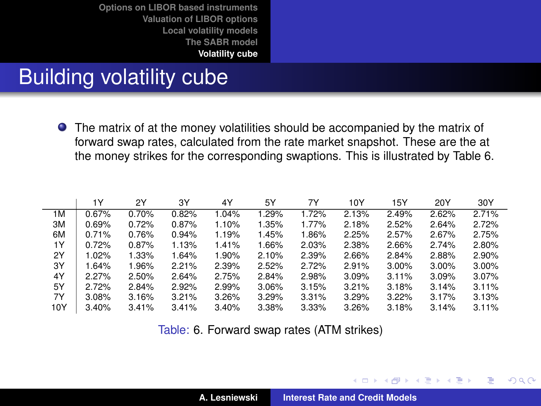### Building volatility cube

The matrix of at the money volatilities should be accompanied by the matrix of forward swap rates, calculated from the rate market snapshot. These are the at the money strikes for the corresponding swaptions. This is illustrated by Table [6.](#page-71-0)

|     | 1Y    | 2Y    | 3Y    | 4Y    | 5Y    | 7Υ    | 10Y   | 15Y   | 20Y   | 30Y   |
|-----|-------|-------|-------|-------|-------|-------|-------|-------|-------|-------|
| 1M  | 0.67% | 0.70% | 0.82% | 1.04% | 1.29% | 1.72% | 2.13% | 2.49% | 2.62% | 2.71% |
| ЗM  | 0.69% | 0.72% | 0.87% | 1.10% | 1.35% | 1.77% | 2.18% | 2.52% | 2.64% | 2.72% |
| 6M  | 0.71% | 0.76% | 0.94% | 1.19% | 1.45% | 1.86% | 2.25% | 2.57% | 2.67% | 2.75% |
| 1Y  | 0.72% | 0.87% | 1.13% | 1.41% | 1.66% | 2.03% | 2.38% | 2.66% | 2.74% | 2.80% |
| 2Y  | 1.02% | 1.33% | 1.64% | 1.90% | 2.10% | 2.39% | 2.66% | 2.84% | 2.88% | 2.90% |
| 3Y  | 1.64% | 1.96% | 2.21% | 2.39% | 2.52% | 2.72% | 2.91% | 3.00% | 3.00% | 3.00% |
| 4Y  | 2.27% | 2.50% | 2.64% | 2.75% | 2.84% | 2.98% | 3.09% | 3.11% | 3.09% | 3.07% |
| 5Y  | 2.72% | 2.84% | 2.92% | 2.99% | 3.06% | 3.15% | 3.21% | 3.18% | 3.14% | 3.11% |
| 7Y  | 3.08% | 3.16% | 3.21% | 3.26% | 3.29% | 3.31% | 3.29% | 3.22% | 3.17% | 3.13% |
| 10Y | 3.40% | 3.41% | 3.41% | 3.40% | 3.38% | 3.33% | 3.26% | 3.18% | 3.14% | 3.11% |

<span id="page-71-0"></span>Table: [6.](#page-71-0) Forward swap rates (ATM strikes)

(ロトス個) (運) (運)

 $2Q$ 

Þ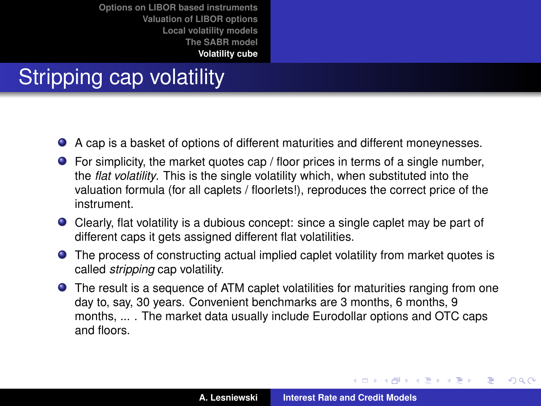## Stripping cap volatility

- A cap is a basket of options of different maturities and different moneynesses.
- $\bullet$  For simplicity, the market quotes cap / floor prices in terms of a single number, the *flat volatility*. This is the single volatility which, when substituted into the valuation formula (for all caplets / floorlets!), reproduces the correct price of the instrument.
- Clearly, flat volatility is a dubious concept: since a single caplet may be part of different caps it gets assigned different flat volatilities.
- The process of constructing actual implied caplet volatility from market quotes is called *stripping* cap volatility.
- The result is a sequence of ATM caplet volatilities for maturities ranging from one day to, say, 30 years. Convenient benchmarks are 3 months, 6 months, 9 months, ... . The market data usually include Eurodollar options and OTC caps and floors.

(ロトス個) (運) (運)

 $QQ$ 

Þ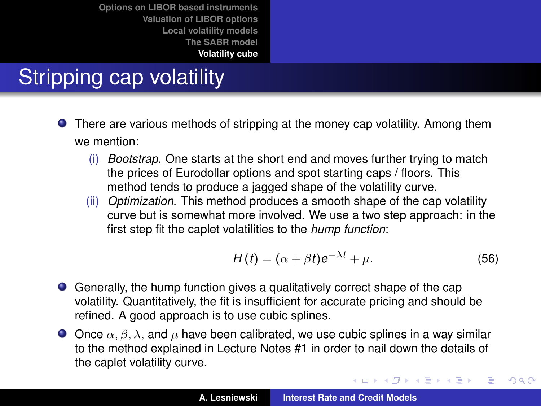## Stripping cap volatility

- There are various methods of stripping at the money cap volatility. Among them we mention:
	- (i) *Bootstrap*. One starts at the short end and moves further trying to match the prices of Eurodollar options and spot starting caps / floors. This method tends to produce a jagged shape of the volatility curve.
	- (ii) *Optimization*. This method produces a smooth shape of the cap volatility curve but is somewhat more involved. We use a two step approach: in the first step fit the caplet volatilities to the *hump function*:

$$
H(t) = (\alpha + \beta t)e^{-\lambda t} + \mu.
$$
 (56)

イロメ イ部メ イヨメ イヨメー

 $299$ 

Þ

- Generally, the hump function gives a qualitatively correct shape of the cap volatility. Quantitatively, the fit is insufficient for accurate pricing and should be refined. A good approach is to use cubic splines.
- O Once  $\alpha$ ,  $\beta$ ,  $\lambda$ , and  $\mu$  have been calibrated, we use cubic splines in a way similar to the method explained in Lecture Notes #1 in order to nail down the details of the caplet volatility curve.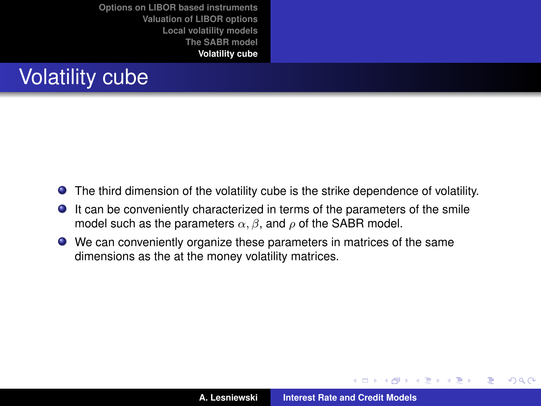

- The third dimension of the volatility cube is the strike dependence of volatility.
- $\bullet$ It can be conveniently characterized in terms of the parameters of the smile model such as the parameters  $\alpha$ ,  $\beta$ , and  $\rho$  of the SABR model.
- We can conveniently organize these parameters in matrices of the same dimensions as the at the money volatility matrices.

(ロトス個) (運) (運)

 $299$ 

重